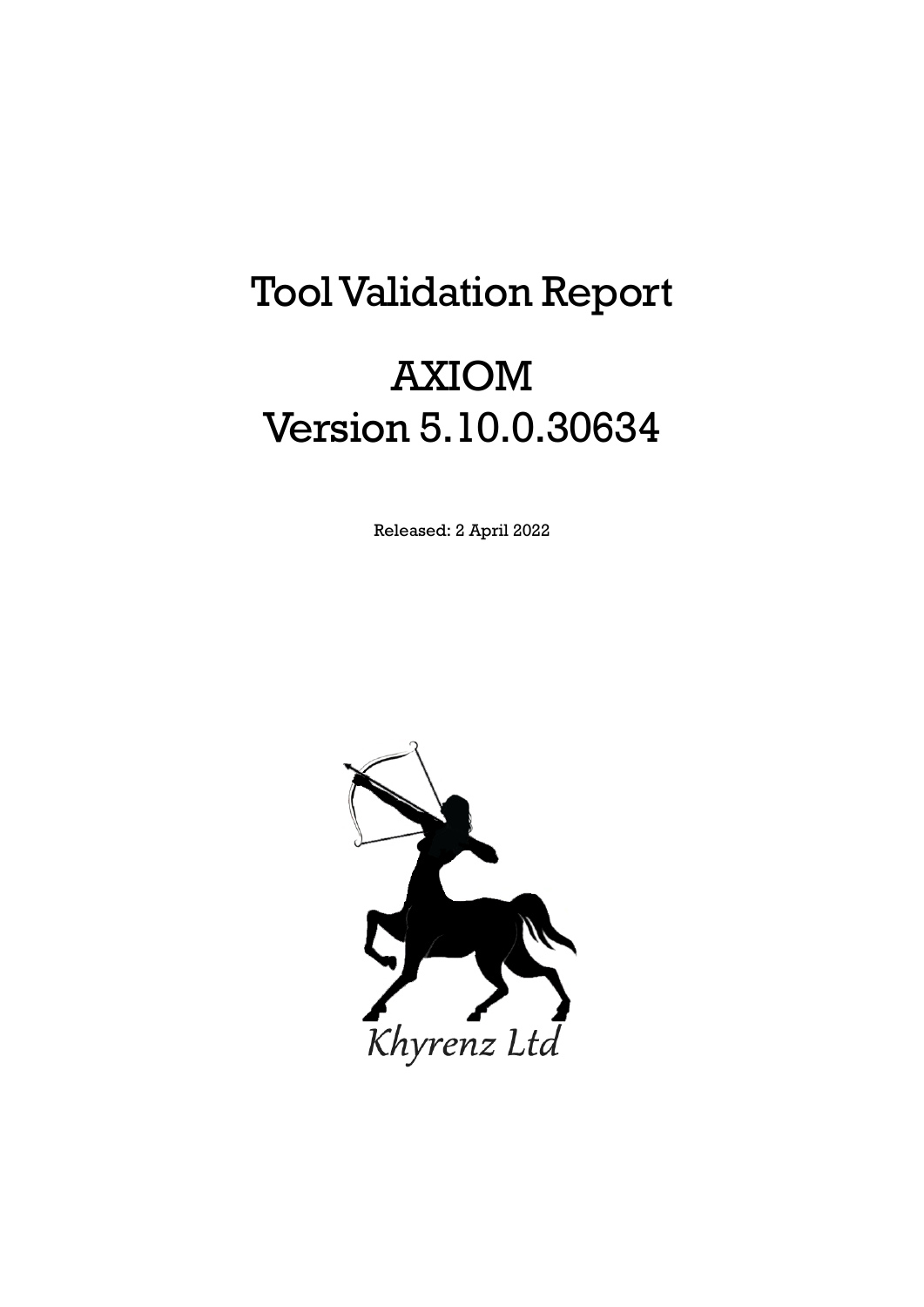# Tool Validation Report

# AXIOM Version 5.10.0.30634

Released: 2 April 2022

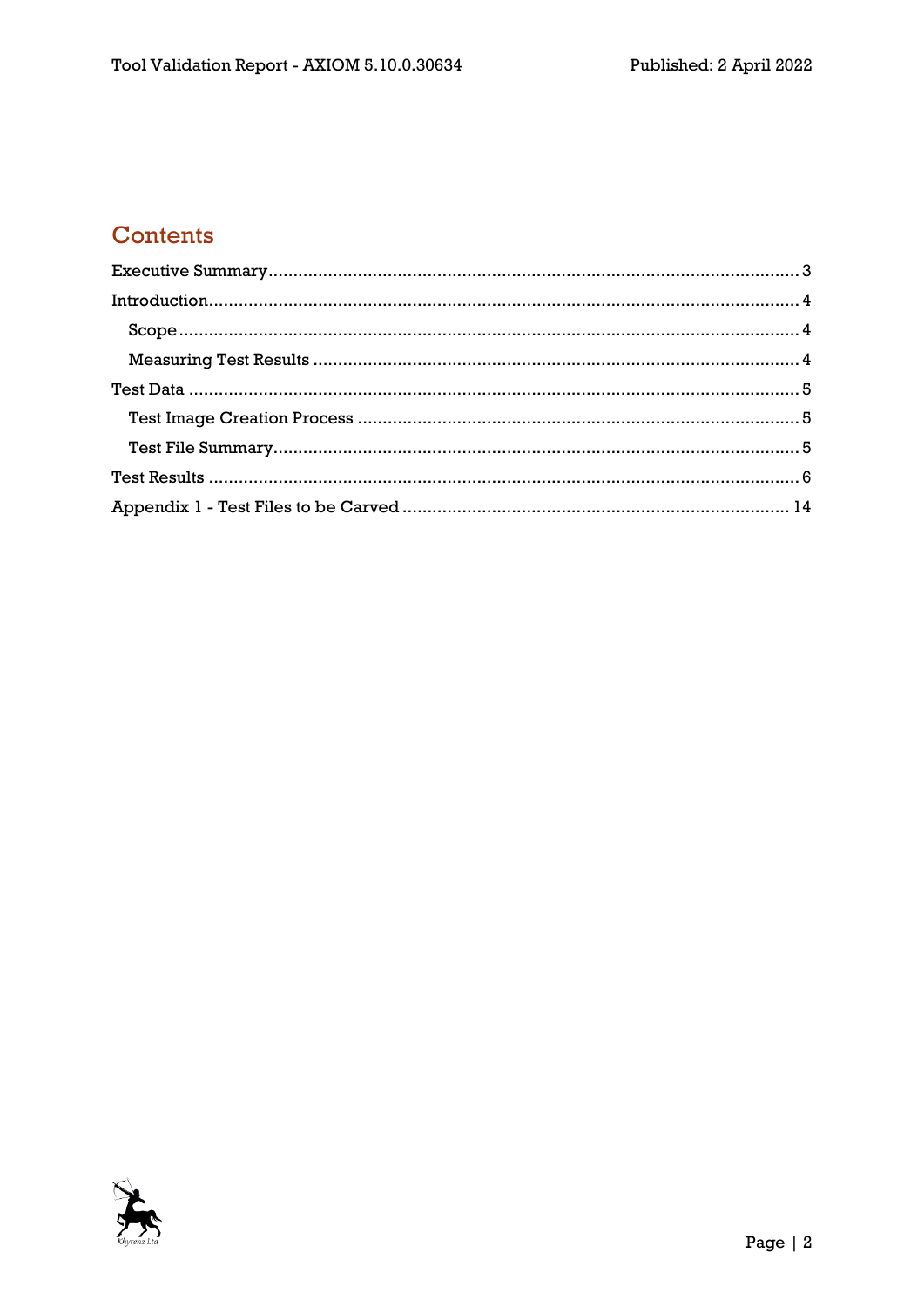## Contents

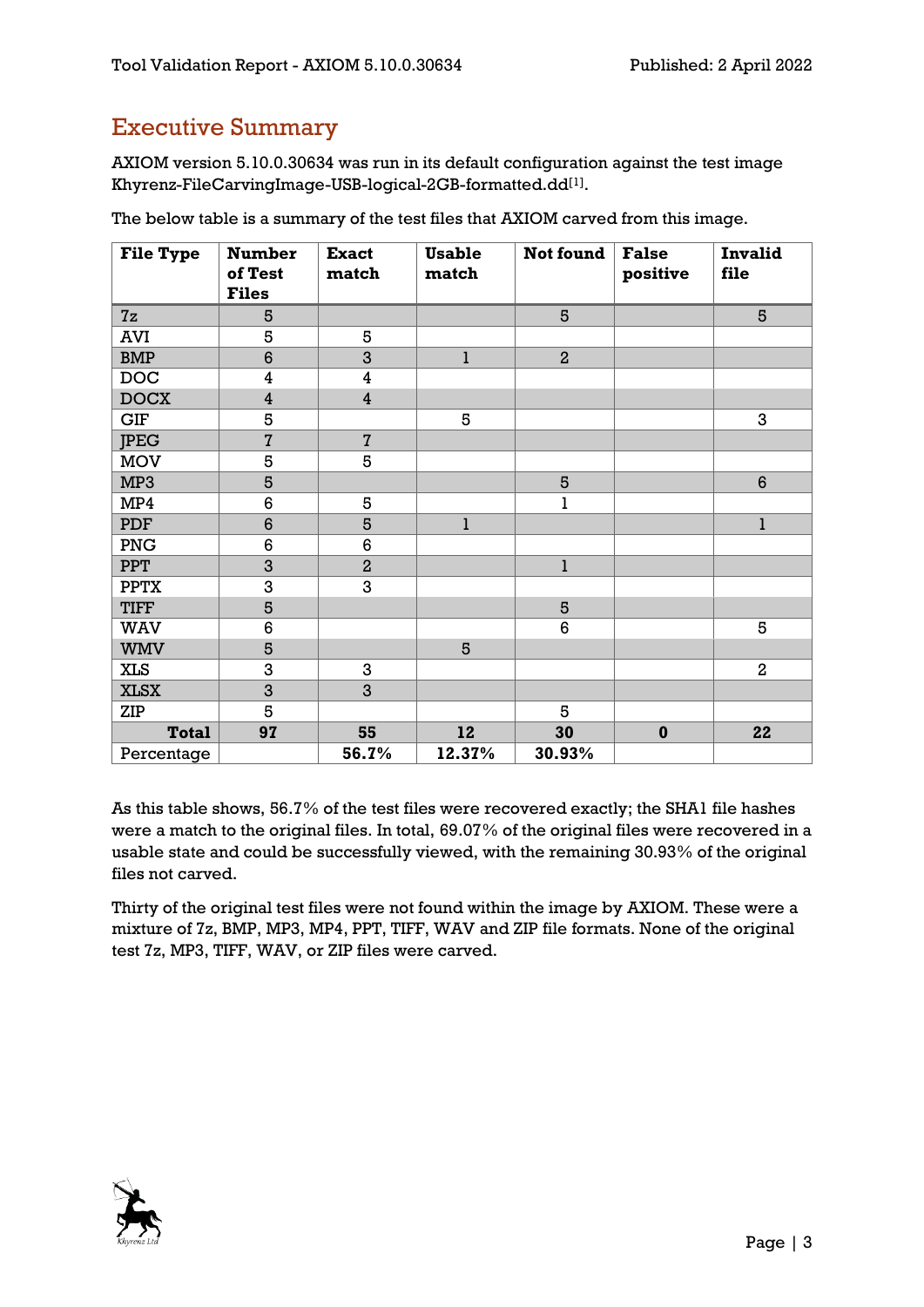## <span id="page-2-0"></span>Executive Summary

AXIOM version 5.10.0.30634 was run in its default configuration against the test image Khyrenz-FileCarvingImage-USB-logical-2GB-formatted.dd[1] .

| <b>File Type</b> | <b>Number</b><br>of Test | <b>Exact</b><br>match   | <b>Usable</b><br>match | Not found      | <b>False</b><br>positive | <b>Invalid</b><br>file |
|------------------|--------------------------|-------------------------|------------------------|----------------|--------------------------|------------------------|
|                  | <b>Files</b>             |                         |                        |                |                          |                        |
| 7z               | 5                        |                         |                        | 5              |                          | 5                      |
| <b>AVI</b>       | 5                        | 5                       |                        |                |                          |                        |
| <b>BMP</b>       | $6\phantom{1}6$          | 3                       | l                      | $\overline{2}$ |                          |                        |
| <b>DOC</b>       | $\overline{\mathbf{4}}$  | $\boldsymbol{4}$        |                        |                |                          |                        |
| <b>DOCX</b>      | $\overline{4}$           | $\overline{\mathbf{4}}$ |                        |                |                          |                        |
| GIF              | 5                        |                         | 5                      |                |                          | 3                      |
| <b>JPEG</b>      | $\overline{7}$           | $\overline{7}$          |                        |                |                          |                        |
| $_{\rm{MOV}}$    | 5                        | 5                       |                        |                |                          |                        |
| MP3              | 5                        |                         |                        | 5              |                          | $6\phantom{1}$         |
| MP4              | $6\phantom{a}$           | 5                       |                        | ı              |                          |                        |
| <b>PDF</b>       | $6\phantom{1}6$          | 5                       | $\mathbf{1}$           |                |                          | $\bf{l}$               |
| PNG              | 6                        | 6                       |                        |                |                          |                        |
| <b>PPT</b>       | 3                        | $\overline{2}$          |                        | $\mathbf{1}$   |                          |                        |
| <b>PPTX</b>      | $\overline{3}$           | $\overline{3}$          |                        |                |                          |                        |
| <b>TIFF</b>      | 5                        |                         |                        | 5              |                          |                        |
| WAV              | 6                        |                         |                        | 6              |                          | 5                      |
| <b>WMV</b>       | 5                        |                         | 5                      |                |                          |                        |
| <b>XLS</b>       | 3                        | 3                       |                        |                |                          | $\overline{a}$         |
| <b>XLSX</b>      | 3                        | 3                       |                        |                |                          |                        |
| ZIP              | 5                        |                         |                        | 5              |                          |                        |
| <b>Total</b>     | 97                       | 55                      | 12                     | 30             | $\mathbf 0$              | 22                     |
| Percentage       |                          | 56.7%                   | 12.37%                 | 30.93%         |                          |                        |

The below table is a summary of the test files that AXIOM carved from this image.

As this table shows, 56.7% of the test files were recovered exactly; the SHA1 file hashes were a match to the original files. In total, 69.07% of the original files were recovered in a usable state and could be successfully viewed, with the remaining 30.93% of the original files not carved.

Thirty of the original test files were not found within the image by AXIOM. These were a mixture of 7z, BMP, MP3, MP4, PPT, TIFF, WAV and ZIP file formats. None of the original test 7z, MP3, TIFF, WAV, or ZIP files were carved.

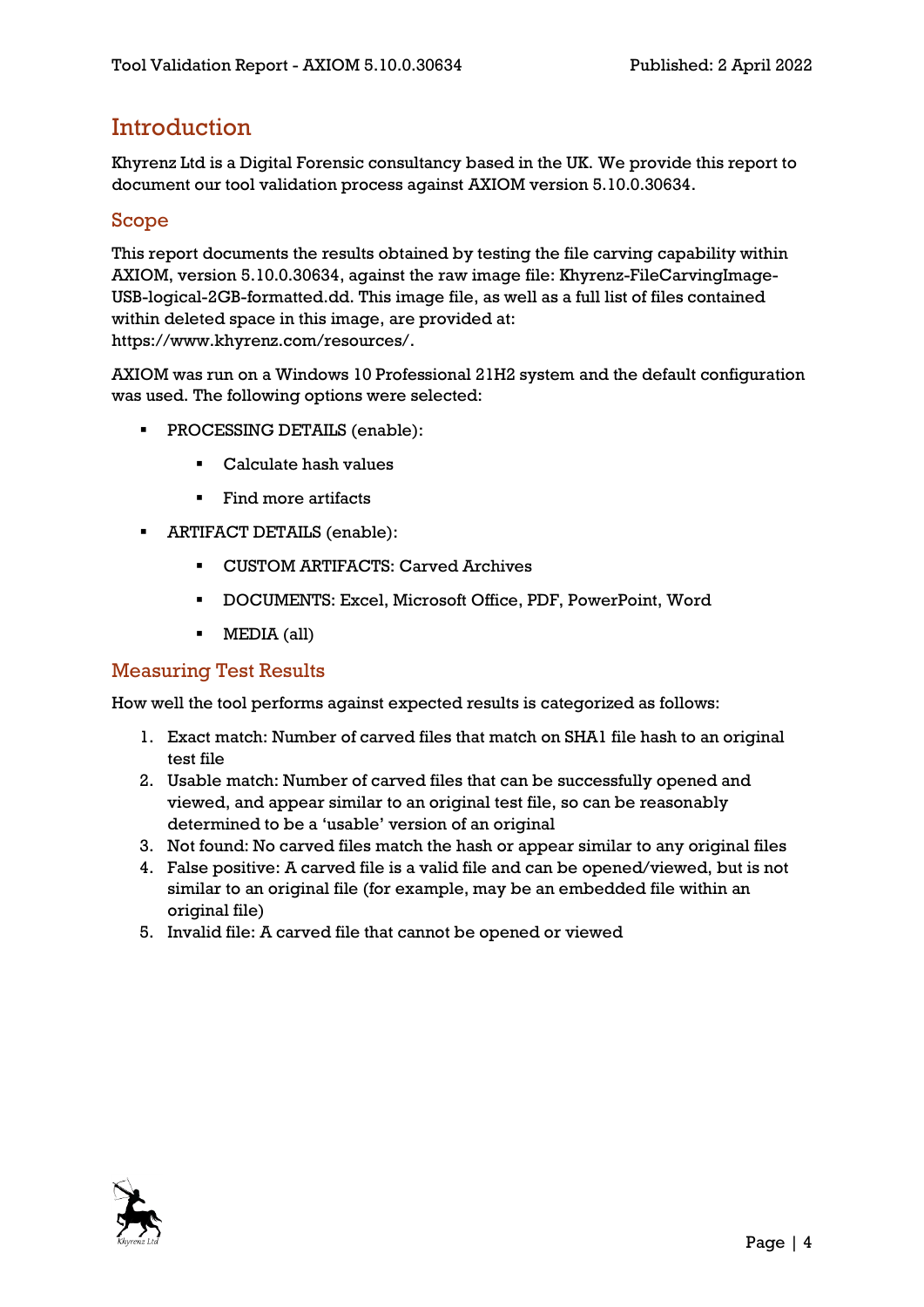### <span id="page-3-0"></span>**Introduction**

Khyrenz Ltd is a Digital Forensic consultancy based in the UK. We provide this report to document our tool validation process against AXIOM version 5.10.0.30634.

#### <span id="page-3-1"></span>Scope

This report documents the results obtained by testing the file carving capability within AXIOM, version 5.10.0.30634, against the raw image file: Khyrenz-FileCarvingImage-USB-logical-2GB-formatted.dd. This image file, as well as a full list of files contained within deleted space in this image, are provided at: https://www.khyrenz.com/resources/.

AXIOM was run on a Windows 10 Professional 21H2 system and the default configuration was used. The following options were selected:

- PROCESSING DETAILS (enable):
	- Calculate hash values
	- Find more artifacts
- ARTIFACT DETAILS (enable):
	- CUSTOM ARTIFACTS: Carved Archives
	- DOCUMENTS: Excel, Microsoft Office, PDF, PowerPoint, Word
	- MEDIA (all)

#### <span id="page-3-2"></span>Measuring Test Results

How well the tool performs against expected results is categorized as follows:

- 1. Exact match: Number of carved files that match on SHA1 file hash to an original test file
- 2. Usable match: Number of carved files that can be successfully opened and viewed, and appear similar to an original test file, so can be reasonably determined to be a 'usable' version of an original
- 3. Not found: No carved files match the hash or appear similar to any original files
- 4. False positive: A carved file is a valid file and can be opened/viewed, but is not similar to an original file (for example, may be an embedded file within an original file)
- 5. Invalid file: A carved file that cannot be opened or viewed

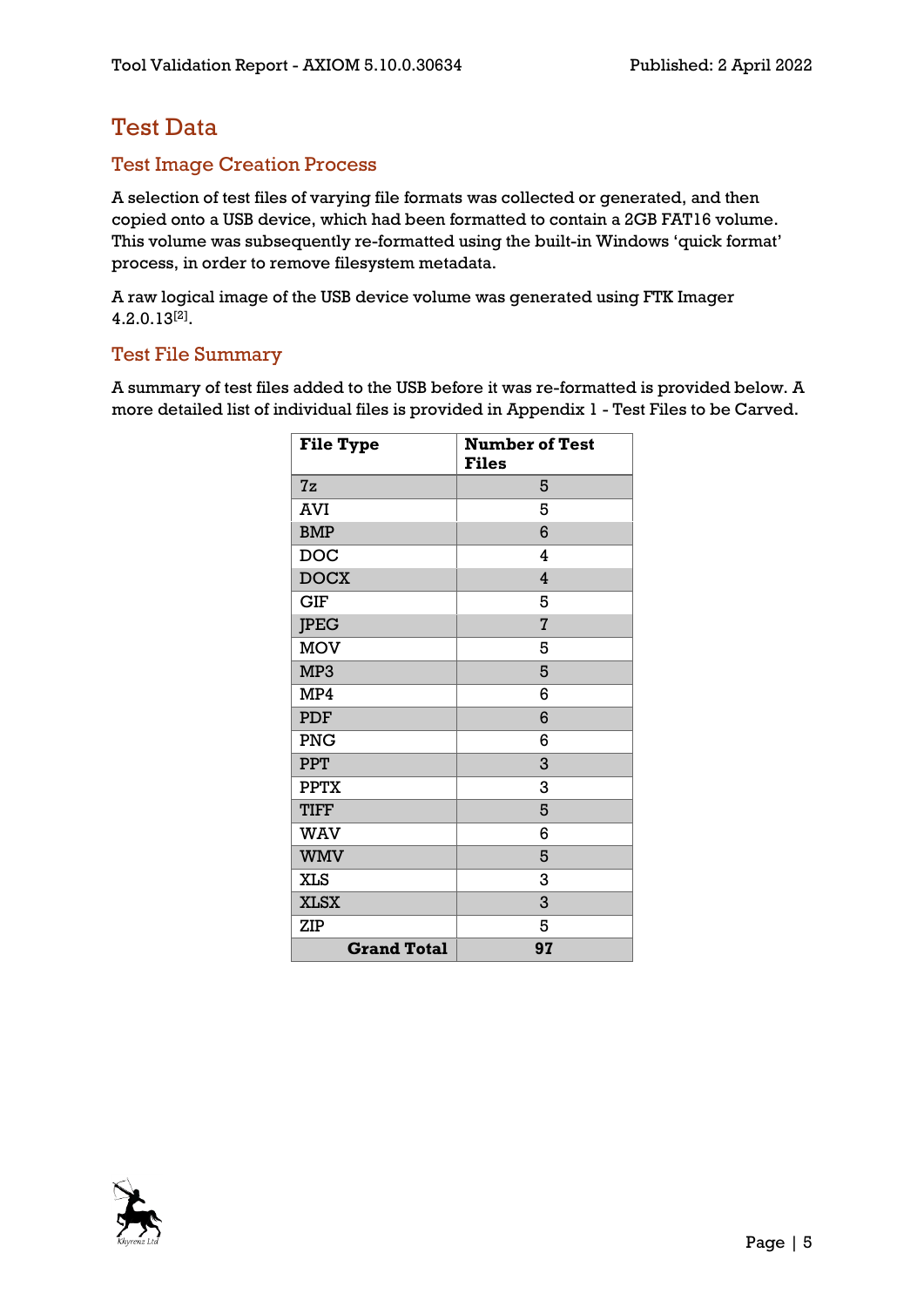## <span id="page-4-0"></span>Test Data

#### <span id="page-4-1"></span>Test Image Creation Process

A selection of test files of varying file formats was collected or generated, and then copied onto a USB device, which had been formatted to contain a 2GB FAT16 volume. This volume was subsequently re-formatted using the built-in Windows 'quick format' process, in order to remove filesystem metadata.

A raw logical image of the USB device volume was generated using FTK Imager 4.2.0.13[2] .

#### <span id="page-4-2"></span>Test File Summary

A summary of test files added to the USB before it was re-formatted is provided below. A more detailed list of individual files is provided in Appendix 1 - [Test Files to be Carved.](#page-13-0)

| <b>File Type</b>   | <b>Number of Test</b><br><b>Files</b> |
|--------------------|---------------------------------------|
| 7z                 | 5                                     |
| AVI                | 5                                     |
| <b>BMP</b>         | 6                                     |
| <b>DOC</b>         | 4                                     |
| <b>DOCX</b>        | 4                                     |
| <b>GIF</b>         | 5                                     |
| <b>JPEG</b>        | $\overline{I}$                        |
| <b>MOV</b>         | 5                                     |
| MP3                | 5                                     |
| MP4                | 6                                     |
| PDF                | 6                                     |
| <b>PNG</b>         | 6                                     |
| <b>PPT</b>         | 3                                     |
| <b>PPTX</b>        | 3                                     |
| <b>TIFF</b>        | 5                                     |
| <b>WAV</b>         | 6                                     |
| <b>WMV</b>         | 5                                     |
| <b>XLS</b>         | 3                                     |
| <b>XLSX</b>        | 3                                     |
| <b>ZIP</b>         | 5                                     |
| <b>Grand Total</b> | 97                                    |

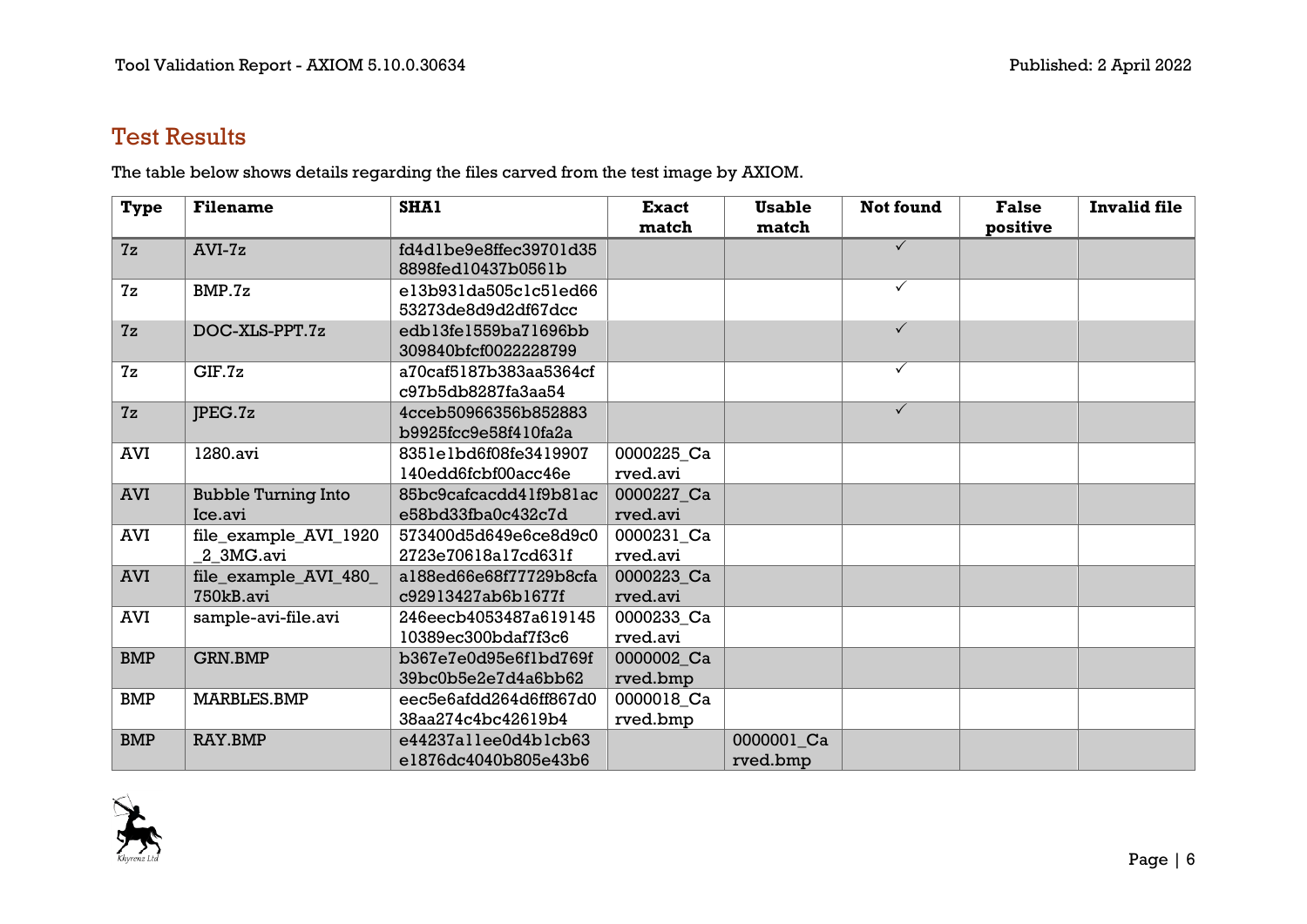## Test Results

The table below shows details regarding the files carved from the test image by AXIOM.

<span id="page-5-0"></span>

| <b>Type</b> | <b>Filename</b>            | SHA1                   | <b>Exact</b> | <b>Usable</b> | <b>Not found</b> | <b>False</b> | <b>Invalid file</b> |
|-------------|----------------------------|------------------------|--------------|---------------|------------------|--------------|---------------------|
|             |                            |                        | match        | match         |                  | positive     |                     |
| 7z          | $AVI-7z$                   | fd4dlbe9e8ffec39701d35 |              |               | $\checkmark$     |              |                     |
|             |                            | 8898fed10437b0561b     |              |               |                  |              |                     |
| 7z          | BMP.7z                     | el3b931da505c1c51ed66  |              |               | $\checkmark$     |              |                     |
|             |                            | 53273de8d9d2df67dcc    |              |               |                  |              |                     |
| 7z          | DOC-XLS-PPT.7z             | edb13fe1559ba71696bb   |              |               | $\checkmark$     |              |                     |
|             |                            | 309840bfcf0022228799   |              |               |                  |              |                     |
| 7z          | CIF.7z                     | a70caf5187b383aa5364cf |              |               | $\checkmark$     |              |                     |
|             |                            | c97b5db8287fa3aa54     |              |               |                  |              |                     |
| 7z          | PEG.7z                     | 4cceb50966356b852883   |              |               | $\checkmark$     |              |                     |
|             |                            | b9925fcc9e58f410fa2a   |              |               |                  |              |                     |
| <b>AVI</b>  | 1280.avi                   | 8351e1bd6f08fe3419907  | 0000225_Ca   |               |                  |              |                     |
|             |                            | 140edd6fcbf00acc46e    | rved.avi     |               |                  |              |                     |
| <b>AVI</b>  | <b>Bubble Turning Into</b> | 85bc9cafcacdd41f9b81ac | 0000227_Ca   |               |                  |              |                     |
|             | Ice.avi                    | e58bd33fba0c432c7d     | rved.avi     |               |                  |              |                     |
| <b>AVI</b>  | file_example_AVI_1920      | 573400d5d649e6ce8d9c0  | 0000231_Ca   |               |                  |              |                     |
|             | 2_3MG.avi                  | 2723e70618a17cd631f    | rved.avi     |               |                  |              |                     |
| <b>AVI</b>  | file_example_AVI_480_      | a188ed66e68f77729b8cfa | 0000223_Ca   |               |                  |              |                     |
|             | 750kB.avi                  | c92913427ab6b1677f     | rved.avi     |               |                  |              |                     |
| <b>AVI</b>  | sample-avi-file.avi        | 246eecb4053487a619145  | 0000233_Ca   |               |                  |              |                     |
|             |                            | 10389ec300bdaf7f3c6    | rved.avi     |               |                  |              |                     |
| <b>BMP</b>  | <b>GRN.BMP</b>             | b367e7e0d95e6f1bd769f  | 0000002_Ca   |               |                  |              |                     |
|             |                            | 39bc0b5e2e7d4a6bb62    | rved.bmp     |               |                  |              |                     |
| <b>BMP</b>  | <b>MARBLES.BMP</b>         | eec5e6afdd264d6ff867d0 | 0000018_Ca   |               |                  |              |                     |
|             |                            | 38aa274c4bc42619b4     | rved.bmp     |               |                  |              |                     |
| <b>BMP</b>  | <b>RAY.BMP</b>             | e44237allee0d4blcb63   |              | 0000001_Ca    |                  |              |                     |
|             |                            | e1876dc4040b805e43b6   |              | rved.bmp      |                  |              |                     |

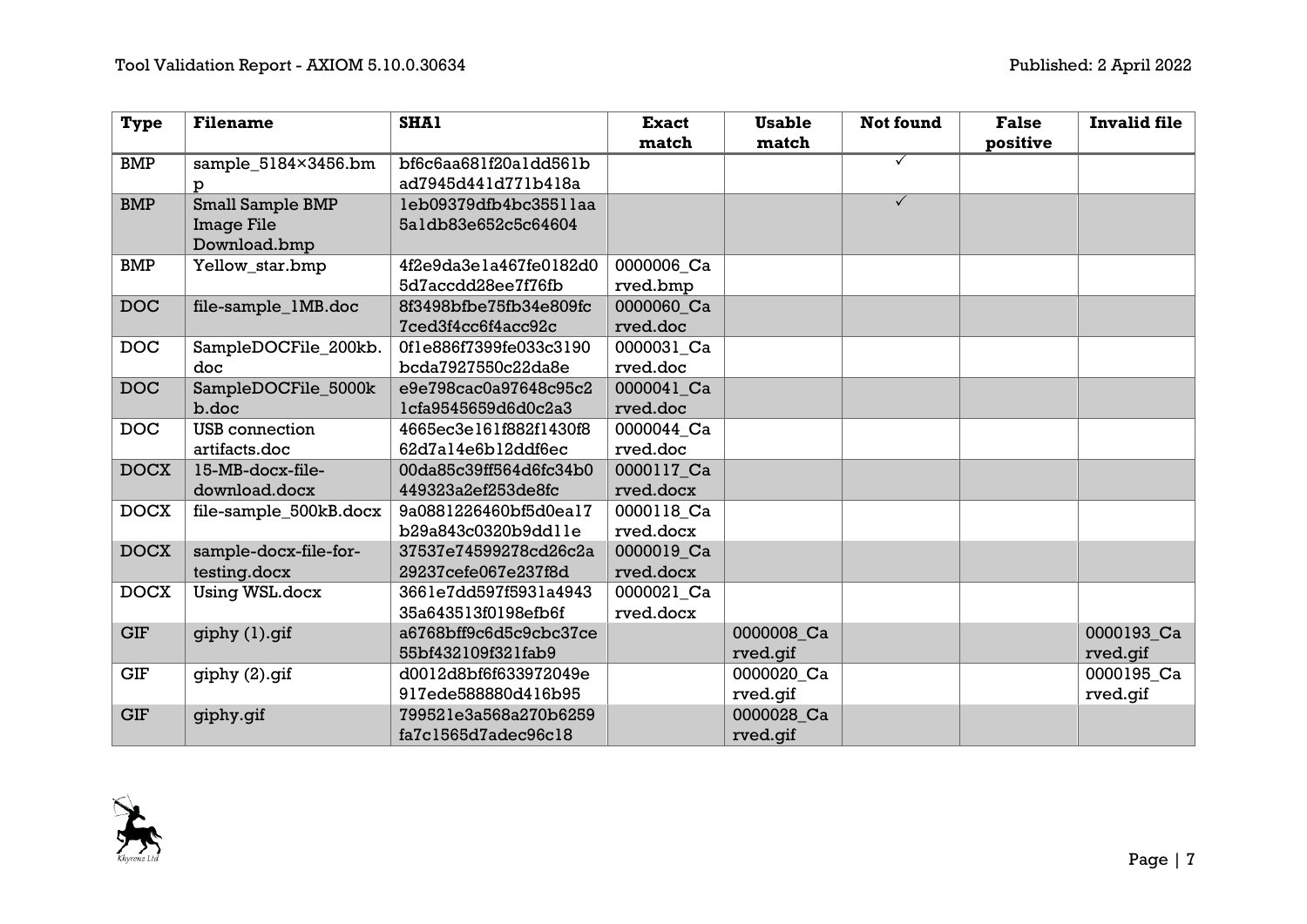| <b>Type</b> | <b>Filename</b>        | <b>SHA1</b>            | <b>Exact</b> | <b>Usable</b> | <b>Not found</b> | <b>False</b> | <b>Invalid file</b> |
|-------------|------------------------|------------------------|--------------|---------------|------------------|--------------|---------------------|
|             |                        |                        | match        | match         |                  | positive     |                     |
| BMP         | sample_5184×3456.bm    | bf6c6aa681f20a1dd561b  |              |               | ✓                |              |                     |
|             | p                      | ad7945d441d771b418a    |              |               |                  |              |                     |
| <b>BMP</b>  | Small Sample BMP       | leb09379dfb4bc3551laa  |              |               | $\checkmark$     |              |                     |
|             | Image File             | 5aldb83e652c5c64604    |              |               |                  |              |                     |
|             | Download.bmp           |                        |              |               |                  |              |                     |
| <b>BMP</b>  | Yellow_star.bmp        | 4f2e9da3e1a467fe0182d0 | 0000006 Ca   |               |                  |              |                     |
|             |                        | 5d7accdd28ee7f76fb     | rved.bmp     |               |                  |              |                     |
| <b>DOC</b>  | file-sample_1MB.doc    | 8f3498bfbe75fb34e809fc | 0000060 Ca   |               |                  |              |                     |
|             |                        | 7ced3f4cc6f4acc92c     | rved.doc     |               |                  |              |                     |
| <b>DOC</b>  | SampleDOCFile_200kb.   | 0fle886f7399fe033c3190 | 0000031 Ca   |               |                  |              |                     |
|             | doc                    | bcda7927550c22da8e     | rved.doc     |               |                  |              |                     |
| <b>DOC</b>  | SampleDOCFile_5000k    | e9e798cac0a97648c95c2  | 0000041 Ca   |               |                  |              |                     |
|             | b.doc                  | lcfa9545659d6d0c2a3    | rved.doc     |               |                  |              |                     |
| <b>DOC</b>  | USB connection         | 4665ec3e161f882f1430f8 | 0000044 Ca   |               |                  |              |                     |
|             | artifacts.doc          | 62d7al4e6bl2ddf6ec     | rved.doc     |               |                  |              |                     |
| <b>DOCX</b> | 15-MB-docx-file-       | 00da85c39ff564d6fc34b0 | 0000117 Ca   |               |                  |              |                     |
|             | download.docx          | 449323a2ef253de8fc     | rved.docx    |               |                  |              |                     |
| <b>DOCX</b> | file-sample_500kB.docx | 9a0881226460bf5d0ea17  | 0000118 Ca   |               |                  |              |                     |
|             |                        | b29a843c0320b9ddlle    | rved.docx    |               |                  |              |                     |
| <b>DOCX</b> | sample-docx-file-for-  | 37537e74599278cd26c2a  | 0000019 Ca   |               |                  |              |                     |
|             | testing.docx           | 29237cefe067e237f8d    | rved.docx    |               |                  |              |                     |
| <b>DOCX</b> | Using WSL.docx         | 3661e7dd597f5931a4943  | 0000021 Ca   |               |                  |              |                     |
|             |                        | 35a643513f0198efb6f    | rved.docx    |               |                  |              |                     |
| <b>GIF</b>  | giphy (1).gif          | a6768bff9c6d5c9cbc37ce |              | 0000008_Ca    |                  |              | 0000193_Ca          |
|             |                        | 55bf432109f321fab9     |              | rved.gif      |                  |              | rved.gif            |
| <b>GIF</b>  | giphy (2).gif          | d0012d8bf6f633972049e  |              | 0000020_Ca    |                  |              | 0000195_Ca          |
|             |                        | 917ede588880d416b95    |              | rved.gif      |                  |              | rved.gif            |
| <b>GIF</b>  | giphy.gif              | 799521e3a568a270b6259  |              | 0000028 Ca    |                  |              |                     |
|             |                        | fa7c1565d7adec96c18    |              | rved.gif      |                  |              |                     |

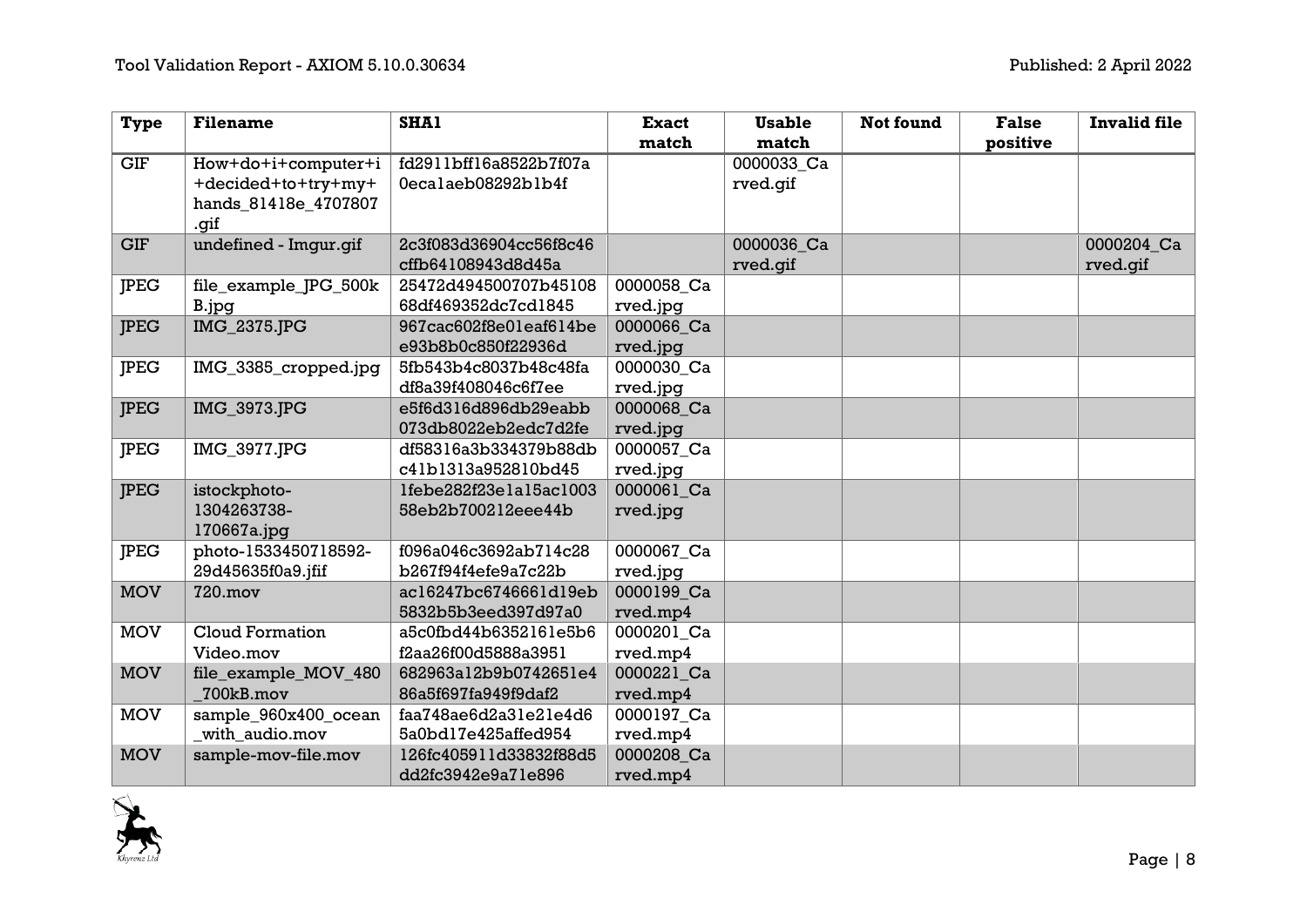| <b>Type</b> | <b>Filename</b>       | <b>SHA1</b>            | <b>Exact</b> | <b>Usable</b> | <b>Not found</b> | <b>False</b> | <b>Invalid file</b> |
|-------------|-----------------------|------------------------|--------------|---------------|------------------|--------------|---------------------|
|             |                       |                        | match        | match         |                  | positive     |                     |
| GIF         | How+do+i+computer+i   | fd2911bff16a8522b7f07a |              | 0000033_Ca    |                  |              |                     |
|             | +decided+to+try+my+   | 0ecalaeb08292blb4f     |              | rved.gif      |                  |              |                     |
|             | hands_81418e_4707807  |                        |              |               |                  |              |                     |
|             | .gif                  |                        |              |               |                  |              |                     |
| <b>GIF</b>  | undefined - Imgur.gif | 2c3f083d36904cc56f8c46 |              | 0000036 Ca    |                  |              | 0000204_Ca          |
|             |                       | cffb64108943d8d45a     |              | rved.gif      |                  |              | rved.gif            |
| <b>IPEG</b> | file_example_JPG_500k | 25472d494500707b45108  | 0000058 Ca   |               |                  |              |                     |
|             | B.jpg                 | 68df469352dc7cd1845    | rved.jpg     |               |                  |              |                     |
| <b>IPEG</b> | IMG_2375.JPG          | 967cac602f8e01eaf614be | 0000066 Ca   |               |                  |              |                     |
|             |                       | e93b8b0c850f22936d     | rved.jpg     |               |                  |              |                     |
| <b>IPEG</b> | IMG_3385_cropped.jpg  | 5fb543b4c8037b48c48fa  | 0000030 Ca   |               |                  |              |                     |
|             |                       | df8a39f408046c6f7ee    | rved.jpg     |               |                  |              |                     |
| <b>JPEG</b> | IMG_3973.JPG          | e5f6d316d896db29eabb   | 0000068 Ca   |               |                  |              |                     |
|             |                       | 073db8022eb2edc7d2fe   | rved.jpg     |               |                  |              |                     |
| <b>IPEG</b> | IMG_3977.JPG          | df58316a3b334379b88db  | 0000057_Ca   |               |                  |              |                     |
|             |                       | c41b1313a952810bd45    | rved.jpg     |               |                  |              |                     |
| <b>JPEG</b> | istockphoto-          | lfebe282f23elal5acl003 | 0000061 Ca   |               |                  |              |                     |
|             | 1304263738-           | 58eb2b700212eee44b     | rved.jpg     |               |                  |              |                     |
|             | $170667a$ .jpg        |                        |              |               |                  |              |                     |
| <b>JPEG</b> | photo-1533450718592-  | f096a046c3692ab714c28  | 0000067 Ca   |               |                  |              |                     |
|             | 29d45635f0a9.jfif     | b267f94f4efe9a7c22b    | rved.jpg     |               |                  |              |                     |
| <b>MOV</b>  | 720.mov               | ac16247bc6746661d19eb  | 0000199 Ca   |               |                  |              |                     |
|             |                       | 5832b5b3eed397d97a0    | rved.mp4     |               |                  |              |                     |
| <b>MOV</b>  | Cloud Formation       | a5c0fbd44b6352161e5b6  | 0000201 Ca   |               |                  |              |                     |
|             | Video.mov             | f2aa26f00d5888a3951    | rved.mp4     |               |                  |              |                     |
| <b>MOV</b>  | file_example_MOV_480  | 682963a12b9b0742651e4  | 0000221 Ca   |               |                  |              |                     |
|             | 700kB.mov             | 86a5f697fa949f9daf2    | rved.mp4     |               |                  |              |                     |
| <b>MOV</b>  | sample_960x400_ocean  | faa748ae6d2a31e21e4d6  | 0000197 Ca   |               |                  |              |                     |
|             | with audio.mov        | 5a0bd17e425affed954    | rved.mp4     |               |                  |              |                     |
| <b>MOV</b>  | sample-mov-file.mov   | 126fc405911d33832f88d5 | 0000208 Ca   |               |                  |              |                     |
|             |                       | dd2fc3942e9a71e896     | rved.mp4     |               |                  |              |                     |

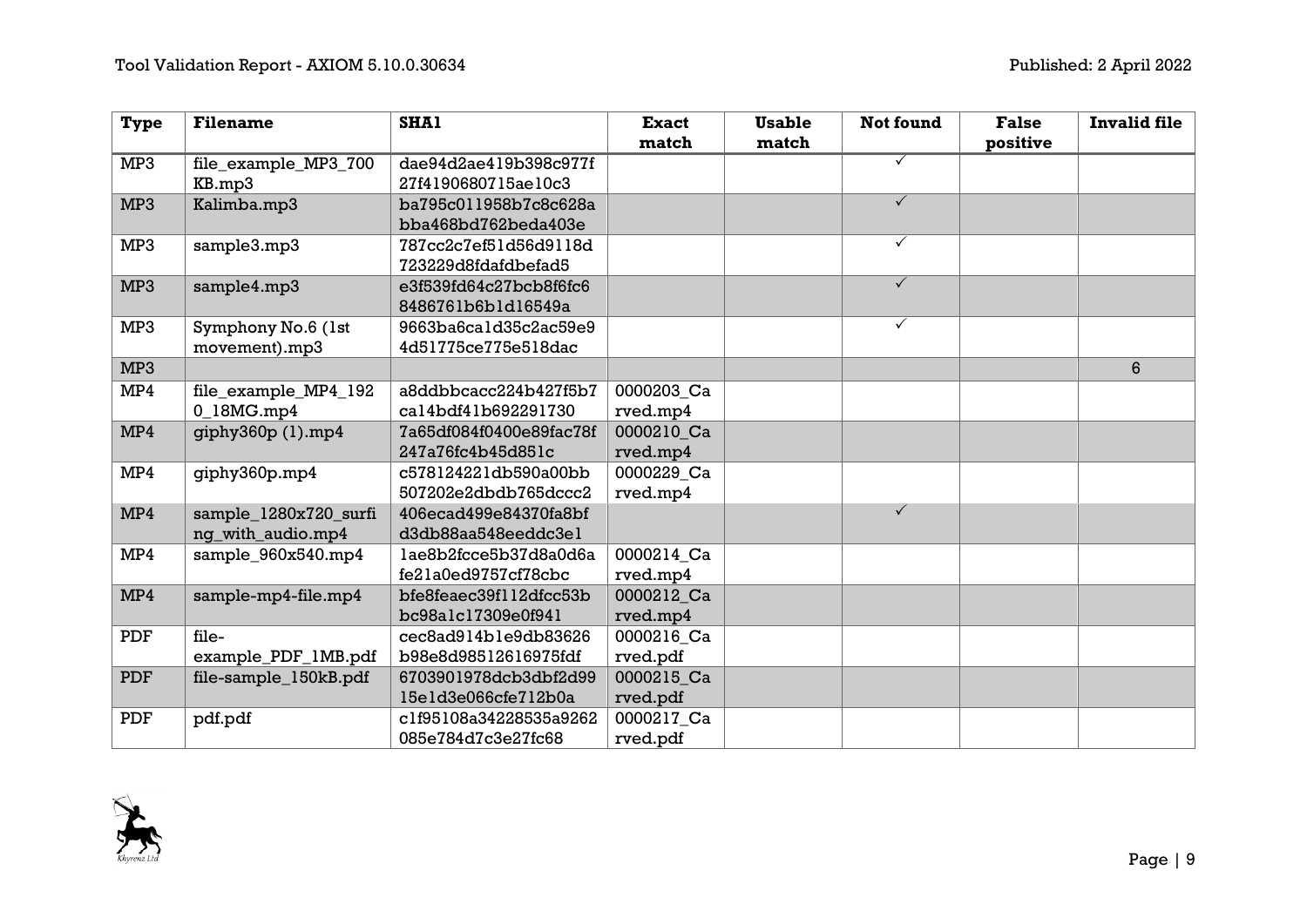| <b>Type</b>     | <b>Filename</b>       | <b>SHA1</b>             | <b>Exact</b> | <b>Usable</b> | Not found    | <b>False</b> | <b>Invalid file</b> |
|-----------------|-----------------------|-------------------------|--------------|---------------|--------------|--------------|---------------------|
|                 |                       |                         | match        | match         |              | positive     |                     |
| MP3             | file_example_MP3_700  | dae94d2ae419b398c977f   |              |               | $\checkmark$ |              |                     |
|                 | KB.mp3                | 27f4190680715ae10c3     |              |               |              |              |                     |
| MP <sub>3</sub> | Kalimba.mp3           | ba795c011958b7c8c628a   |              |               | $\checkmark$ |              |                     |
|                 |                       | bba468bd762beda403e     |              |               |              |              |                     |
| MP3             | sample3.mp3           | 787cc2c7ef51d56d9118d   |              |               | $\checkmark$ |              |                     |
|                 |                       | 723229d8fdafdbefad5     |              |               |              |              |                     |
| MP <sub>3</sub> | sample4.mp3           | e3f539fd64c27bcb8f6fc6  |              |               | $\checkmark$ |              |                     |
|                 |                       | 8486761b6b1d16549a      |              |               |              |              |                     |
| MP3             | Symphony No.6 (1st    | 9663ba6cald35c2ac59e9   |              |               | $\checkmark$ |              |                     |
|                 | movement).mp3         | 4d51775ce775e518dac     |              |               |              |              |                     |
| MP3             |                       |                         |              |               |              |              | $6\phantom{1}$      |
| MP4             | file_example_MP4_192  | a8ddbbcacc224b427f5b7   | 0000203_Ca   |               |              |              |                     |
|                 | 0 18MG.mp4            | cal4bdf41b692291730     | rved.mp4     |               |              |              |                     |
| MP4             | qiphy360p(1).mp4      | 7a65df084f0400e89fac78f | 0000210 Ca   |               |              |              |                     |
|                 |                       | 247a76fc4b45d851c       | rved.mp4     |               |              |              |                     |
| MP4             | giphy360p.mp4         | c578124221db590a00bb    | 0000229 Ca   |               |              |              |                     |
|                 |                       | 507202e2dbdb765dccc2    | rved.mp4     |               |              |              |                     |
| MP4             | sample_1280x720_surfi | 406ecad499e84370fa8bf   |              |               | $\checkmark$ |              |                     |
|                 | nq_with_audio.mp4     | d3db88aa548eeddc3el     |              |               |              |              |                     |
| MP4             | sample_960x540.mp4    | lae8b2fcce5b37d8a0d6a   | 0000214 Ca   |               |              |              |                     |
|                 |                       | fe21a0ed9757cf78cbc     | rved.mp4     |               |              |              |                     |
| MP4             | sample-mp4-file.mp4   | bfe8feaec39f112dfcc53b  | 0000212 Ca   |               |              |              |                     |
|                 |                       | bc98alc17309e0f941      | rved.mp4     |               |              |              |                     |
| <b>PDF</b>      | file-                 | cec8ad914ble9db83626    | 0000216 Ca   |               |              |              |                     |
|                 | example_PDF_1MB.pdf   | b98e8d98512616975fdf    | rved.pdf     |               |              |              |                     |
| <b>PDF</b>      | file-sample_150kB.pdf | 6703901978dcb3dbf2d99   | 0000215 Ca   |               |              |              |                     |
|                 |                       | 15e1d3e066cfe712b0a     | rved.pdf     |               |              |              |                     |
| PDF             | pdf.pdf               | c1f95108a34228535a9262  | 0000217 Ca   |               |              |              |                     |
|                 |                       | 085e784d7c3e27fc68      | rved.pdf     |               |              |              |                     |

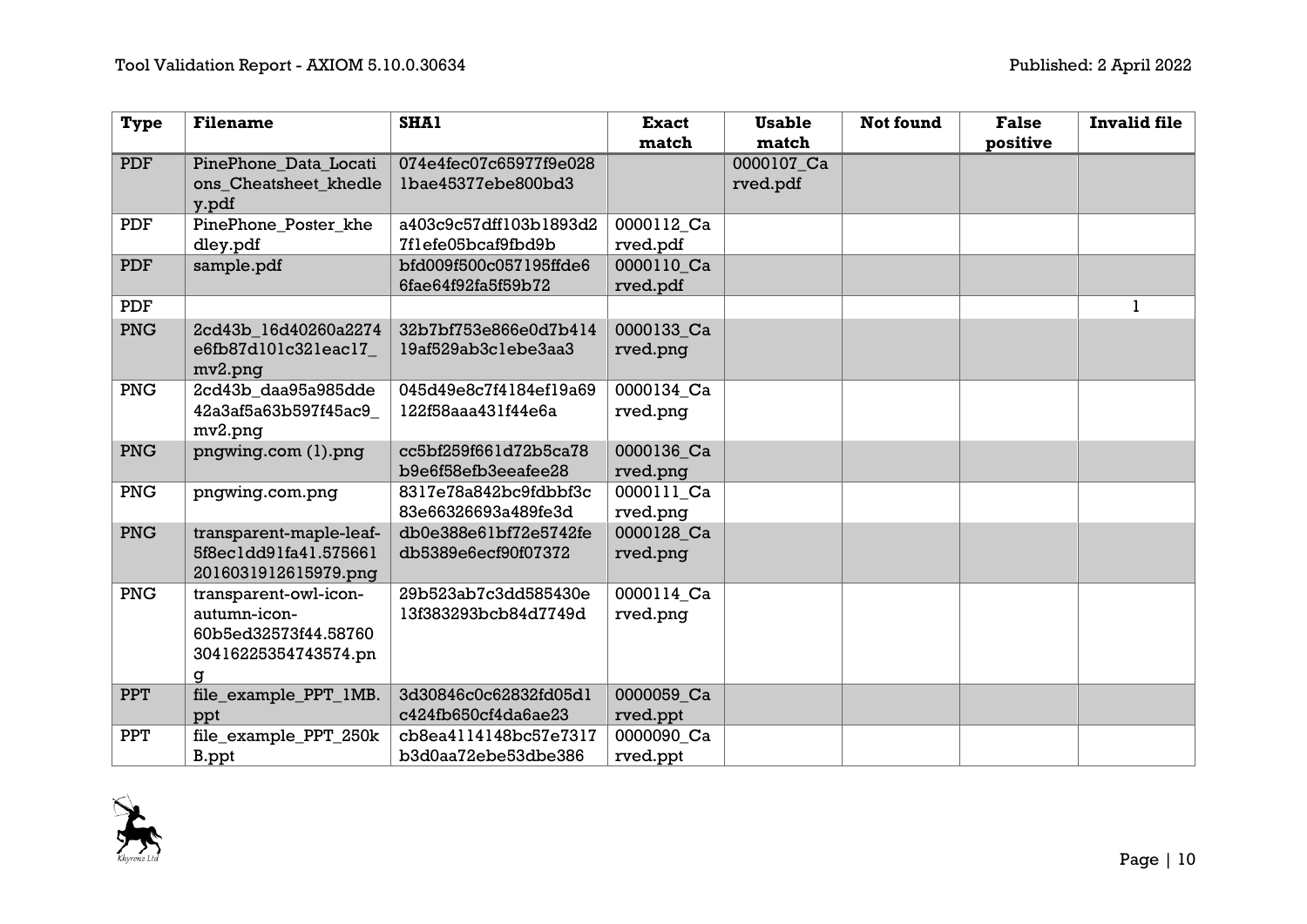| <b>Type</b> | <b>Filename</b>         | SHA1                   | <b>Exact</b> | <b>Usable</b> | <b>Not found</b> | <b>False</b> | <b>Invalid file</b> |
|-------------|-------------------------|------------------------|--------------|---------------|------------------|--------------|---------------------|
|             |                         |                        | match        | match         |                  | positive     |                     |
| <b>PDF</b>  | PinePhone_Data_Locati   | 074e4fec07c65977f9e028 |              | 0000107_Ca    |                  |              |                     |
|             | ons_Cheatsheet_khedle   | lbae45377ebe800bd3     |              | rved.pdf      |                  |              |                     |
|             | y.pdf                   |                        |              |               |                  |              |                     |
| PDF         | PinePhone_Poster_khe    | a403c9c57dff103b1893d2 | 0000112 Ca   |               |                  |              |                     |
|             | dley.pdf                | 7flefe05bcaf9fbd9b     | rved.pdf     |               |                  |              |                     |
| <b>PDF</b>  | sample.pdf              | bfd009f500c057195ffde6 | 0000110 Ca   |               |                  |              |                     |
|             |                         | 6fae64f92fa5f59b72     | rved.pdf     |               |                  |              |                     |
| PDF         |                         |                        |              |               |                  |              | 1                   |
| PNG         | 2cd43b_16d40260a2274    | 32b7bf753e866e0d7b414  | 0000133_Ca   |               |                  |              |                     |
|             | e6fb87d101c321eac17_    | 19af529ab3clebe3aa3    | rved.pnq     |               |                  |              |                     |
|             | mv2.png                 |                        |              |               |                  |              |                     |
| <b>PNG</b>  | 2cd43b_daa95a985dde     | 045d49e8c7f4184ef19a69 | 0000134 Ca   |               |                  |              |                     |
|             | 42a3af5a63b597f45ac9    | 122f58aaa431f44e6a     | rved.png     |               |                  |              |                     |
|             | mv2.png                 |                        |              |               |                  |              |                     |
| <b>PNG</b>  | pngwing.com (1).png     | cc5bf259f661d72b5ca78  | 0000136 Ca   |               |                  |              |                     |
|             |                         | b9e6f58efb3eeafee28    | rved.pnq     |               |                  |              |                     |
| PNG         | pngwing.com.png         | 8317e78a842bc9fdbbf3c  | 0000111 Ca   |               |                  |              |                     |
|             |                         | 83e66326693a489fe3d    | rved.png     |               |                  |              |                     |
| <b>PNG</b>  | transparent-maple-leaf- | db0e388e61bf72e5742fe  | 0000128 Ca   |               |                  |              |                     |
|             | 5f8ec1dd91fa41.575661   | db5389e6ecf90f07372    | rved.png     |               |                  |              |                     |
|             | 2016031912615979.png    |                        |              |               |                  |              |                     |
| PNG         | transparent-owl-icon-   | 29b523ab7c3dd585430e   | 0000114_Ca   |               |                  |              |                     |
|             | autumn-icon-            | 13f383293bcb84d7749d   | rved.png     |               |                  |              |                     |
|             | 60b5ed32573f44.58760    |                        |              |               |                  |              |                     |
|             | 30416225354743574.pn    |                        |              |               |                  |              |                     |
|             | g                       |                        |              |               |                  |              |                     |
| <b>PPT</b>  | file_example_PPT_1MB.   | 3d30846c0c62832fd05d1  | 0000059_Ca   |               |                  |              |                     |
|             | ppt                     | c424fb650cf4da6ae23    | rved.ppt     |               |                  |              |                     |
| <b>PPT</b>  | file_example_PPT_250k   | cb8ea4114148bc57e7317  | 0000090 Ca   |               |                  |              |                     |
|             | B.ppt                   | b3d0aa72ebe53dbe386    | rved.ppt     |               |                  |              |                     |

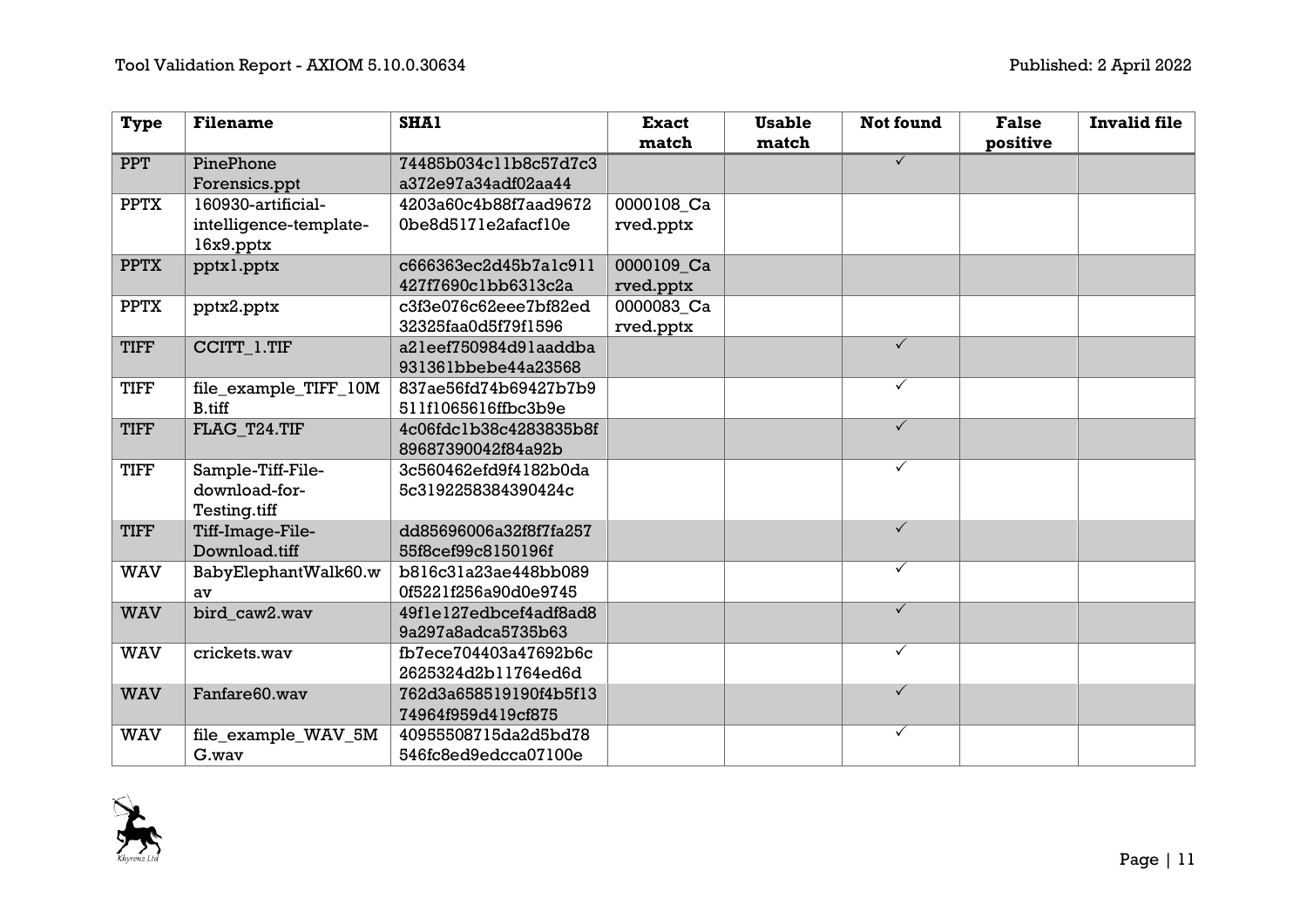| <b>Type</b> | <b>Filename</b>        | <b>SHA1</b>            | <b>Exact</b> | <b>Usable</b> | <b>Not found</b>        | <b>False</b> | <b>Invalid file</b> |
|-------------|------------------------|------------------------|--------------|---------------|-------------------------|--------------|---------------------|
|             |                        |                        | match        | match         |                         | positive     |                     |
| <b>PPT</b>  | PinePhone              | 74485b034cllb8c57d7c3  |              |               | $\overline{\checkmark}$ |              |                     |
|             | Forensics.ppt          | a372e97a34adf02aa44    |              |               |                         |              |                     |
| <b>PPTX</b> | 160930-artificial-     | 4203a60c4b88f7aad9672  | 0000108 Ca   |               |                         |              |                     |
|             | intelligence-template- | 0be8d5171e2afacf10e    | rved.pptx    |               |                         |              |                     |
|             | $16x9.$ pptx           |                        |              |               |                         |              |                     |
| <b>PPTX</b> | pptxl.pptx             | c666363ec2d45b7alc911  | 0000109 Ca   |               |                         |              |                     |
|             |                        | 427f7690clbb6313c2a    | rved.pptx    |               |                         |              |                     |
| <b>PPTX</b> | pptx2.pptx             | c3f3e076c62eee7bf82ed  | 0000083 Ca   |               |                         |              |                     |
|             |                        | 32325faa0d5f79f1596    | rved.pptx    |               |                         |              |                     |
| <b>TIFF</b> | CCITT_1.TIF            | a2leef750984d9laaddba  |              |               | $\checkmark$            |              |                     |
|             |                        | 931361bbebe44a23568    |              |               |                         |              |                     |
| <b>TIFF</b> | file_example_TIFF_10M  | 837ae56fd74b69427b7b9  |              |               | $\checkmark$            |              |                     |
|             | B.tiff                 | 511f1065616ffbc3b9e    |              |               |                         |              |                     |
| <b>TIFF</b> | FLAG_T24.TIF           | 4c06fdc1b38c4283835b8f |              |               | $\checkmark$            |              |                     |
|             |                        | 89687390042f84a92b     |              |               |                         |              |                     |
| <b>TIFF</b> | Sample-Tiff-File-      | 3c560462efd9f4182b0da  |              |               | $\checkmark$            |              |                     |
|             | download-for-          | 5c3192258384390424c    |              |               |                         |              |                     |
|             | Testing.tiff           |                        |              |               |                         |              |                     |
| <b>TIFF</b> | Tiff-Image-File-       | dd85696006a32f8f7fa257 |              |               | $\checkmark$            |              |                     |
|             | Download.tiff          | 55f8cef99c8150196f     |              |               |                         |              |                     |
| <b>WAV</b>  | BabyElephantWalk60.w   | b816c31a23ae448bb089   |              |               | $\checkmark$            |              |                     |
|             | av                     | 0f5221f256a90d0e9745   |              |               |                         |              |                     |
| <b>WAV</b>  | bird caw2.wav          | 49f1e127edbcef4adf8ad8 |              |               | $\checkmark$            |              |                     |
|             |                        | 9a297a8adca5735b63     |              |               |                         |              |                     |
| <b>WAV</b>  | crickets.wav           | fb7ece704403a47692b6c  |              |               | $\checkmark$            |              |                     |
|             |                        | 2625324d2b11764ed6d    |              |               |                         |              |                     |
| <b>WAV</b>  | Fanfare60.wav          | 762d3a658519190f4b5f13 |              |               | $\checkmark$            |              |                     |
|             |                        | 74964f959d419cf875     |              |               |                         |              |                     |
| <b>WAV</b>  | file_example_WAV_5M    | 40955508715da2d5bd78   |              |               | $\checkmark$            |              |                     |
|             | G.wav                  | 546fc8ed9edcca07100e   |              |               |                         |              |                     |

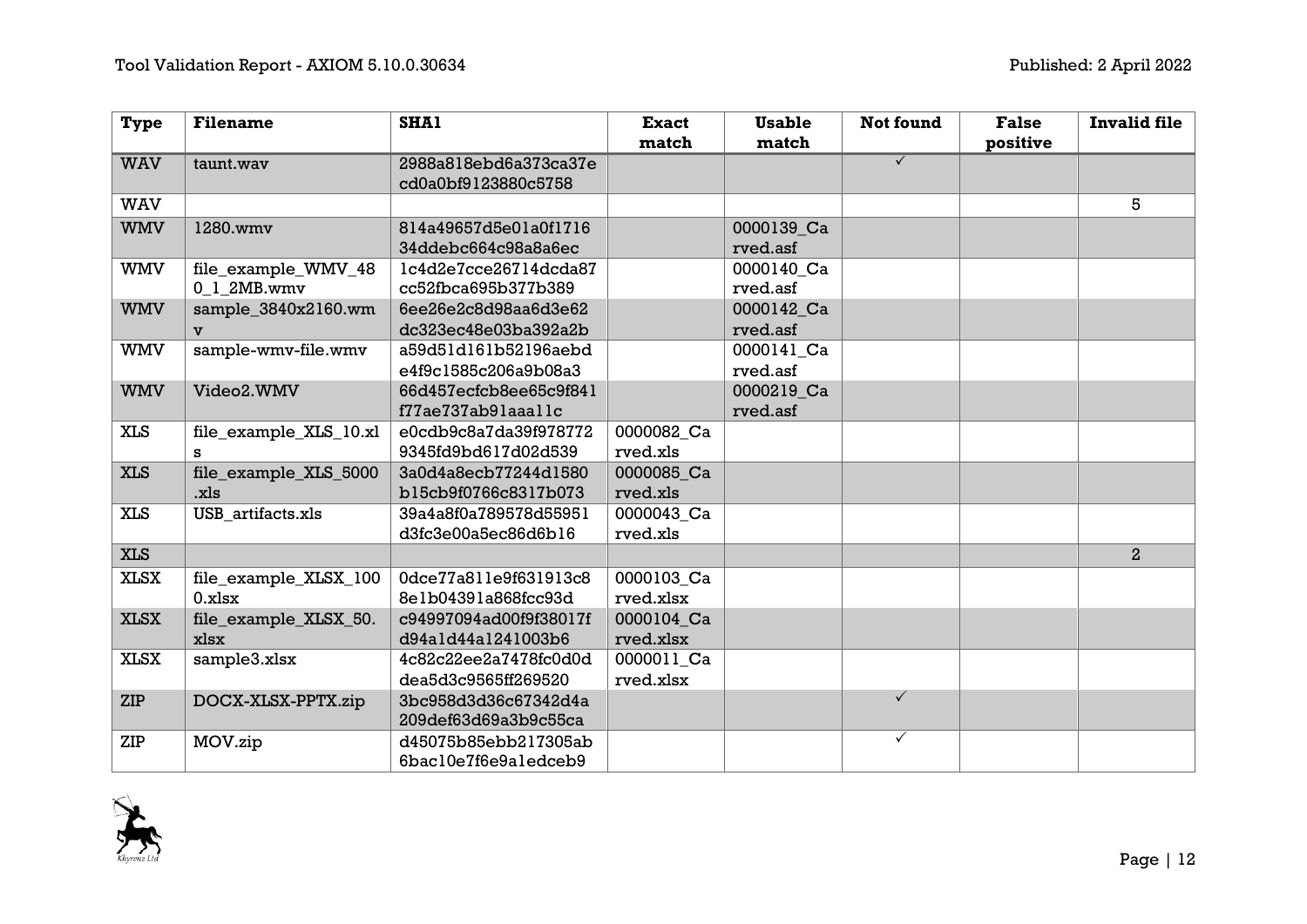| <b>Type</b> | <b>Filename</b>        | <b>SHA1</b>            | <b>Exact</b> | <b>Usable</b> | Not found               | <b>False</b> | <b>Invalid file</b> |
|-------------|------------------------|------------------------|--------------|---------------|-------------------------|--------------|---------------------|
|             |                        |                        | match        | match         |                         | positive     |                     |
| <b>WAV</b>  | taunt.wav              | 2988a818ebd6a373ca37e  |              |               | $\overline{\checkmark}$ |              |                     |
|             |                        | cd0a0bf9123880c5758    |              |               |                         |              |                     |
| <b>WAV</b>  |                        |                        |              |               |                         |              | 5                   |
| <b>WMV</b>  | 1280.wmv               | 814a49657d5e01a0f1716  |              | 0000139_Ca    |                         |              |                     |
|             |                        | 34ddebc664c98a8a6ec    |              | rved.asf      |                         |              |                     |
| <b>WMV</b>  | file_example_WMV_48    | lc4d2e7cce26714dcda87  |              | 0000140_Ca    |                         |              |                     |
|             | 0 1 2MB.wmv            | cc52fbca695b377b389    |              | rved.asf      |                         |              |                     |
| <b>WMV</b>  | sample_3840x2160.wm    | 6ee26e2c8d98aa6d3e62   |              | 0000142 Ca    |                         |              |                     |
|             | $\mathbf{v}$           | dc323ec48e03ba392a2b   |              | rved.asf      |                         |              |                     |
| <b>WMV</b>  | sample-wmv-file.wmv    | a59d51d161b52196aebd   |              | 0000141 Ca    |                         |              |                     |
|             |                        | e4f9c1585c206a9b08a3   |              | rved.asf      |                         |              |                     |
| <b>WMV</b>  | Video2.WMV             | 66d457ecfcb8ee65c9f841 |              | 0000219 Ca    |                         |              |                     |
|             |                        | f77ae737ab9laaallc     |              | rved.asf      |                         |              |                     |
| <b>XLS</b>  | file_example_XLS_10.xl | e0cdb9c8a7da39f978772  | 0000082 Ca   |               |                         |              |                     |
|             | s                      | 9345fd9bd617d02d539    | rved.xls     |               |                         |              |                     |
| <b>XLS</b>  | file_example_XLS_5000  | 3a0d4a8ecb77244d1580   | 0000085_Ca   |               |                         |              |                     |
|             | .xls                   | b15cb9f0766c8317b073   | rved.xls     |               |                         |              |                     |
| <b>XLS</b>  | USB artifacts.xls      | 39a4a8f0a789578d55951  | 0000043 Ca   |               |                         |              |                     |
|             |                        | d3fc3e00a5ec86d6b16    | rved.xls     |               |                         |              |                     |
| <b>XLS</b>  |                        |                        |              |               |                         |              | $\overline{2}$      |
| <b>XLSX</b> | file_example_XLSX_100  | 0dce77a811e9f631913c8  | 0000103 Ca   |               |                         |              |                     |
|             | $0.x$ lsx              | 8elb0439la868fcc93d    | rved.xlsx    |               |                         |              |                     |
| <b>XLSX</b> | file_example_XLSX_50.  | c94997094ad00f9f38017f | 0000104 Ca   |               |                         |              |                     |
|             | xlsx                   | d94ald44al241003b6     | rved.xlsx    |               |                         |              |                     |
| <b>XLSX</b> | sample3.xlsx           | 4c82c22ee2a7478fc0d0d  | 0000011 Ca   |               |                         |              |                     |
|             |                        | dea5d3c9565ff269520    | rved.xlsx    |               |                         |              |                     |
| <b>ZIP</b>  | DOCX-XLSX-PPTX.zip     | 3bc958d3d36c67342d4a   |              |               | $\checkmark$            |              |                     |
|             |                        | 209def63d69a3b9c55ca   |              |               |                         |              |                     |
| ZIP         | MOV.zip                | d45075b85ebb217305ab   |              |               | $\checkmark$            |              |                     |
|             |                        | 6bac10e7f6e9aledceb9   |              |               |                         |              |                     |

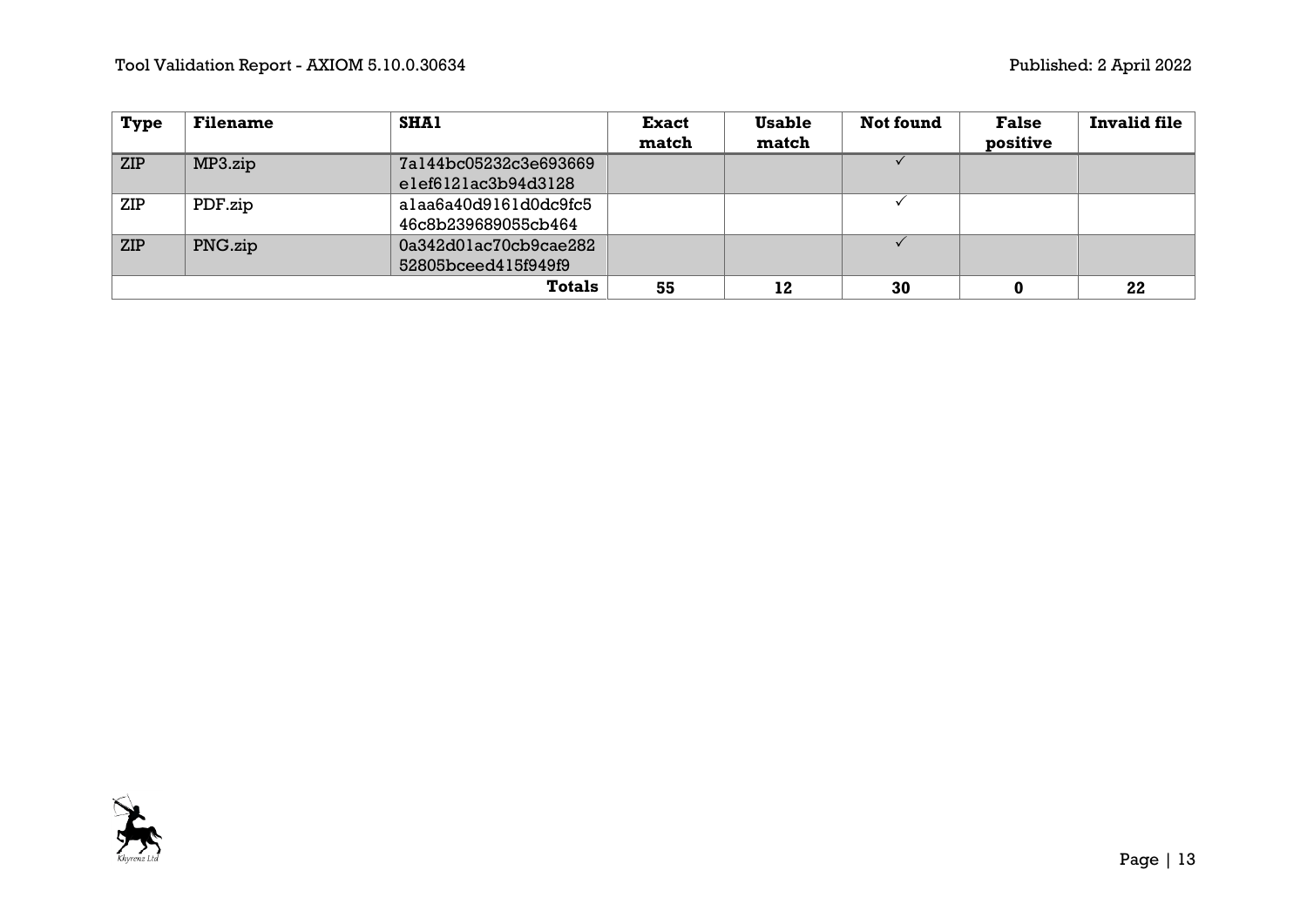| <b>Type</b> | <b>Filename</b> | <b>SHA1</b>           | <b>Exact</b> | <b>Usable</b> | Not found | <b>False</b> | <b>Invalid file</b> |
|-------------|-----------------|-----------------------|--------------|---------------|-----------|--------------|---------------------|
|             |                 |                       | match        | match         |           | positive     |                     |
| <b>ZIP</b>  | MP3.zip         | 7a144bc05232c3e693669 |              |               |           |              |                     |
|             |                 | elef6121ac3b94d3128   |              |               |           |              |                     |
| ZIP         | PDF.zip         | alaa6a40d9161d0dc9fc5 |              |               |           |              |                     |
|             |                 | 46c8b239689055cb464   |              |               |           |              |                     |
| <b>ZIP</b>  | PNG.zip         | 0a342d01ac70cb9cae282 |              |               |           |              |                     |
|             |                 | 52805bceed415f949f9   |              |               |           |              |                     |
|             |                 | <b>Totals</b>         | 55           | 12            | 30        |              | 22                  |

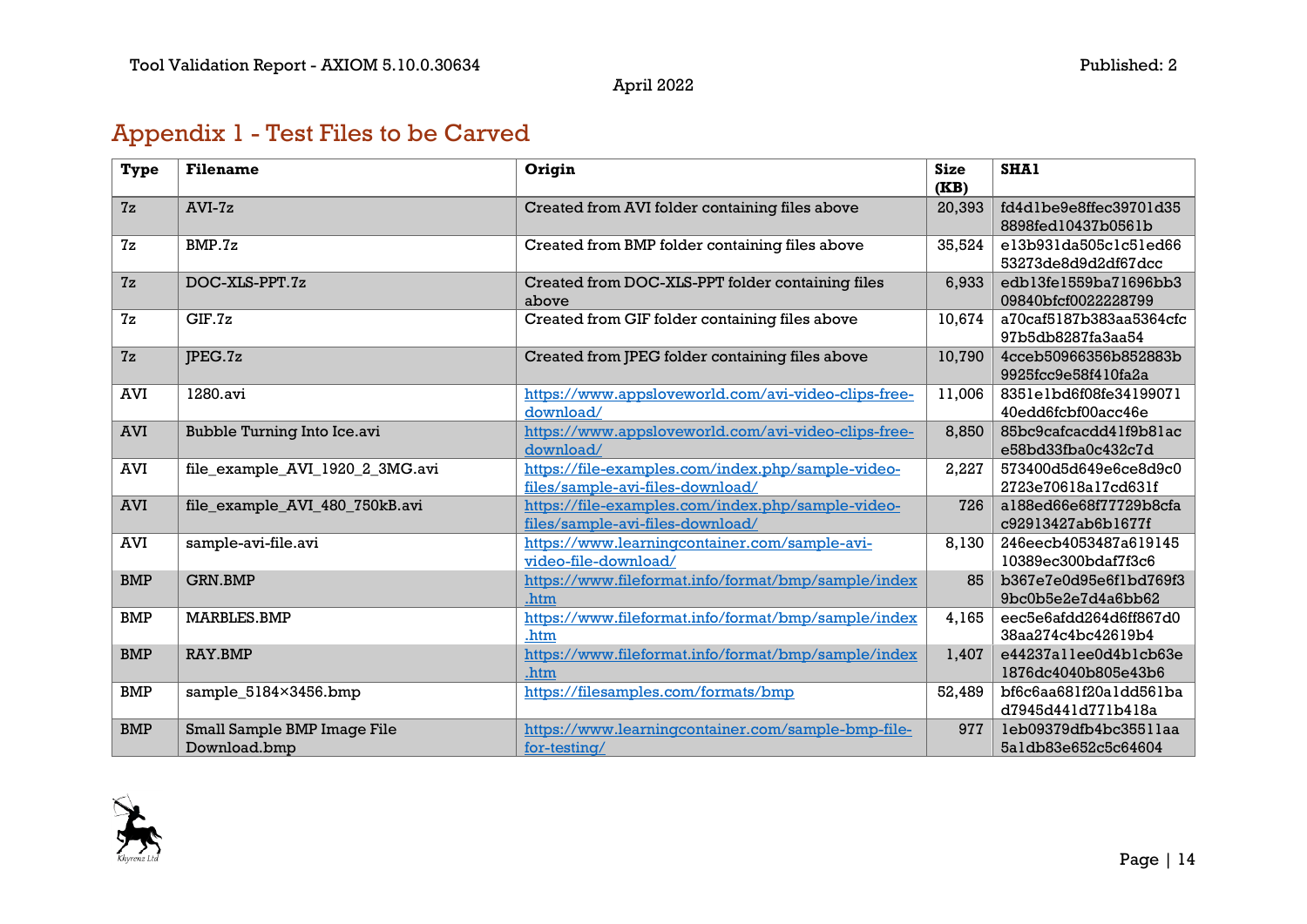## Appendix 1 - Test Files to be Carved

| Type       | <b>Filename</b>                 | Origin                                              | <b>Size</b><br>(KB) | SHA1                    |
|------------|---------------------------------|-----------------------------------------------------|---------------------|-------------------------|
| 7z         | $AVI-Zz$                        | Created from AVI folder containing files above      | 20,393              | fd4dlbe9e8ffec39701d35  |
|            |                                 |                                                     |                     | 8898fed10437b0561b      |
| 7z         | BMP.7z                          | Created from BMP folder containing files above      | 35,524              | el3b931da505clc5led66   |
|            |                                 |                                                     |                     | 53273de8d9d2df67dcc     |
| 7z         | DOC-XLS-PPT.7z                  | Created from DOC-XLS-PPT folder containing files    | 6,933               | edb13fe1559ba71696bb3   |
|            |                                 | above                                               |                     | 09840bfcf0022228799     |
| 7z         | GIF.7z                          | Created from GIF folder containing files above      | 10,674              | a70caf5187b383aa5364cfc |
|            |                                 |                                                     |                     | 97b5db8287fa3aa54       |
| 7z         | JPEG.7z                         | Created from JPEG folder containing files above     | 10,790              | 4cceb50966356b852883b   |
|            |                                 |                                                     |                     | 9925fcc9e58f410fa2a     |
| <b>AVI</b> | 1280.avi                        | https://www.appsloveworld.com/avi-video-clips-free- | 11,006              | 8351e1bd6f08fe34199071  |
|            |                                 | download/                                           |                     | 40edd6fcbf00acc46e      |
| <b>AVI</b> | Bubble Turning Into Ice.avi     | https://www.appsloveworld.com/avi-video-clips-free- | 8,850               | 85bc9cafcacdd41f9b81ac  |
|            |                                 | download/                                           |                     | e58bd33fba0c432c7d      |
| AVI        | file example AVI 1920 2 3MG.avi | https://file-examples.com/index.php/sample-video-   | 2,227               | 573400d5d649e6ce8d9c0   |
|            |                                 | files/sample-avi-files-download/                    |                     | 2723e70618a17cd631f     |
| <b>AVI</b> | file_example_AVI_480_750kB.avi  | https://file-examples.com/index.php/sample-video-   | 726                 | a188ed66e68f77729b8cfa  |
|            |                                 | files/sample-avi-files-download/                    |                     | c92913427ab6b1677f      |
| <b>AVI</b> | sample-avi-file.avi             | https://www.learningcontainer.com/sample-avi-       | 8,130               | 246eecb4053487a619145   |
|            |                                 | video-file-download/                                |                     | 10389ec300bdaf7f3c6     |
| <b>BMP</b> | <b>GRN.BMP</b>                  | https://www.fileformat.info/format/bmp/sample/index | 85                  | b367e7e0d95e6f1bd769f3  |
|            |                                 | .htm                                                |                     | 9bc0b5e2e7d4a6bb62      |
| <b>BMP</b> | <b>MARBLES.BMP</b>              | https://www.fileformat.info/format/bmp/sample/index | 4,165               | eec5e6afdd264d6ff867d0  |
|            |                                 | .htm                                                |                     | 38aa274c4bc42619b4      |
| <b>BMP</b> | RAY.BMP                         | https://www.fileformat.info/format/bmp/sample/index | 1,407               | e44237allee0d4blcb63e   |
|            |                                 | .htm                                                |                     | 1876dc4040b805e43b6     |
| <b>BMP</b> | sample_5184×3456.bmp            | https://filesamples.com/formats/bmp                 | 52,489              | bf6c6aa681f20a1dd561ba  |
|            |                                 |                                                     |                     | d7945d441d771b418a      |
| <b>BMP</b> | Small Sample BMP Image File     | https://www.learningcontainer.com/sample-bmp-file-  | 977                 | leb09379dfb4bc3551laa   |
|            | Download.bmp                    | for-testing/                                        |                     | 5aldb83e652c5c64604     |

<span id="page-13-0"></span>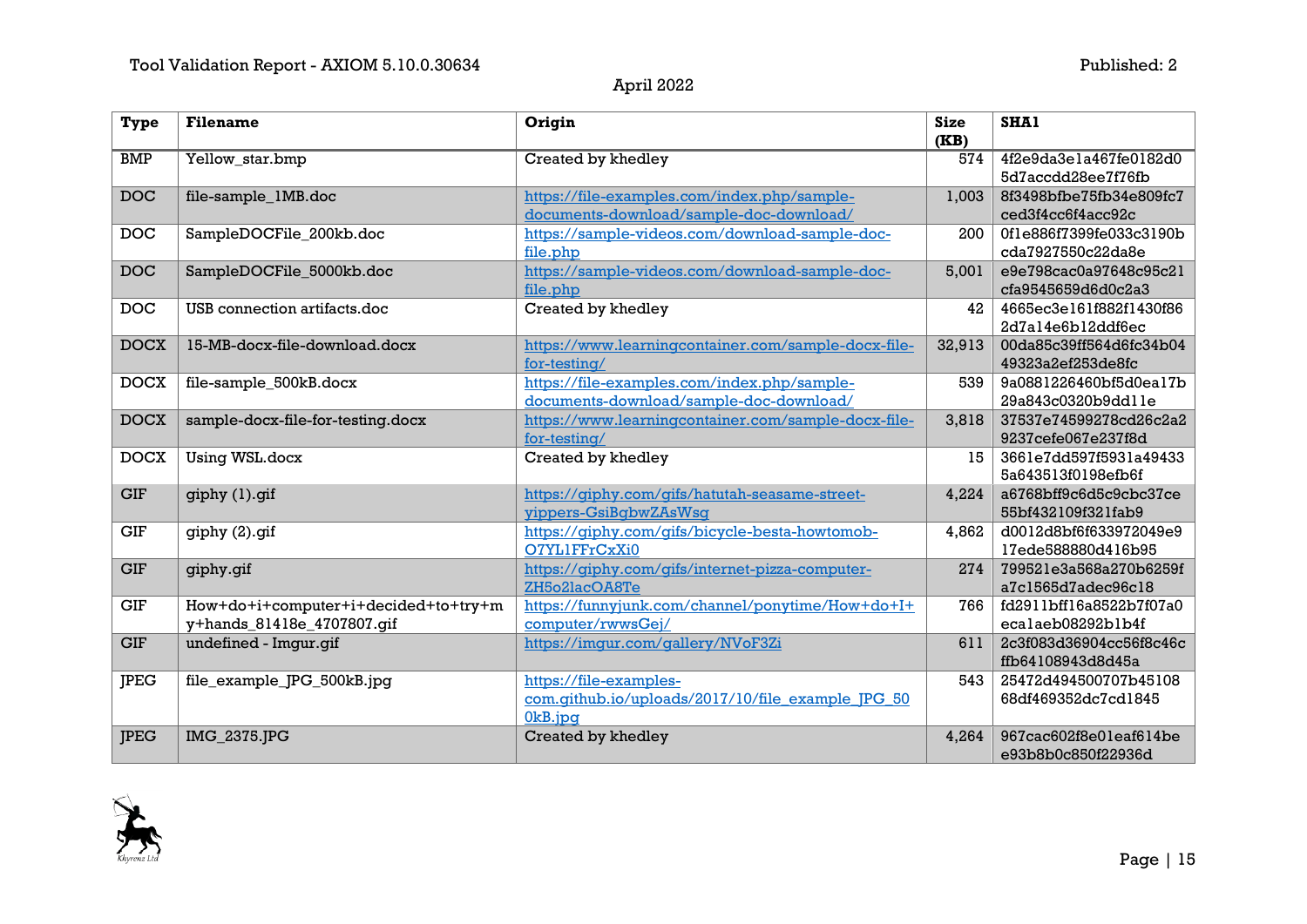| <b>Type</b> | <b>Filename</b>                                                    | Origin                                                                                 | <b>Size</b><br>(KB) | SHA1                                         |
|-------------|--------------------------------------------------------------------|----------------------------------------------------------------------------------------|---------------------|----------------------------------------------|
| <b>BMP</b>  | Yellow_star.bmp                                                    | Created by khedley                                                                     | 574                 | 4f2e9da3e1a467fe0182d0<br>5d7accdd28ee7f76fb |
| <b>DOC</b>  | file-sample_1MB.doc                                                | https://file-examples.com/index.php/sample-<br>documents-download/sample-doc-download/ | 1,003               | 8f3498bfbe75fb34e809fc7<br>ced3f4cc6f4acc92c |
| <b>DOC</b>  | SampleDOCFile_200kb.doc                                            | https://sample-videos.com/download-sample-doc-<br>file.php                             | 200                 | 0f1e886f7399fe033c3190b<br>cda7927550c22da8e |
| <b>DOC</b>  | SampleDOCFile_5000kb.doc                                           | https://sample-videos.com/download-sample-doc-<br>file.php                             | 5,001               | e9e798cac0a97648c95c21<br>cfa9545659d6d0c2a3 |
| <b>DOC</b>  | USB connection artifacts.doc                                       | Created by khedley                                                                     | 42                  | 4665ec3e161f882f1430f86<br>2d7al4e6bl2ddf6ec |
| <b>DOCX</b> | 15-MB-docx-file-download.docx                                      | https://www.learningcontainer.com/sample-docx-file-<br>for-testing/                    | 32,913              | 00da85c39ff564d6fc34b04<br>49323a2ef253de8fc |
| <b>DOCX</b> | file-sample_500kB.docx                                             | https://file-examples.com/index.php/sample-<br>documents-download/sample-doc-download/ | 539                 | 9a0881226460bf5d0ea17b<br>29a843c0320b9ddlle |
| <b>DOCX</b> | sample-docx-file-for-testing.docx                                  | https://www.learningcontainer.com/sample-docx-file-<br>for-testing/                    | 3,818               | 37537e74599278cd26c2a2<br>9237cefe067e237f8d |
| <b>DOCX</b> | Using WSL.docx                                                     | Created by khedley                                                                     | 15                  | 3661e7dd597f5931a49433<br>5a643513f0198efb6f |
| <b>GIF</b>  | giphy (1).gif                                                      | https://qiphy.com/qifs/hatutah-seasame-street-<br>yippers-GsiBqbwZAsWsq                | 4.224               | a6768bff9c6d5c9cbc37ce<br>55bf432109f321fab9 |
| <b>GIF</b>  | giphy (2).gif                                                      | https://qiphy.com/qifs/bicycle-besta-howtomob-<br>O7YL1FFrCxXi0                        | 4,862               | d0012d8bf6f633972049e9<br>17ede588880d416b95 |
| <b>GIF</b>  | giphy.gif                                                          | https://qiphy.com/qifs/internet-pizza-computer-<br>ZH5o2lacOA8Te                       | 274                 | 799521e3a568a270b6259f<br>a7c1565d7adec96c18 |
| <b>GIF</b>  | How+do+i+computer+i+decided+to+try+m<br>y+hands_81418e_4707807.gif | https://funnyjunk.com/channel/ponytime/How+do+I+<br>computer/rwwsGej/                  | 766                 | fd2911bff16a8522b7f07a0<br>ecalaeb08292blb4f |
| <b>GIF</b>  | undefined - Imgur.gif                                              | https://imgur.com/gallery/NVoF3Zi                                                      | 611                 | 2c3f083d36904cc56f8c46c<br>ffb64108943d8d45a |
| <b>IPEG</b> | file_example_JPG_500kB.jpg                                         | https://file-examples-<br>com.qithub.io/uploads/2017/10/file example JPG 50<br>0kB.jpq | 543                 | 25472d494500707b45108<br>68df469352dc7cd1845 |
| <b>JPEG</b> | IMG_2375.JPG                                                       | Created by khedley                                                                     | 4,264               | 967cac602f8e0leaf614be<br>e93b8b0c850f22936d |

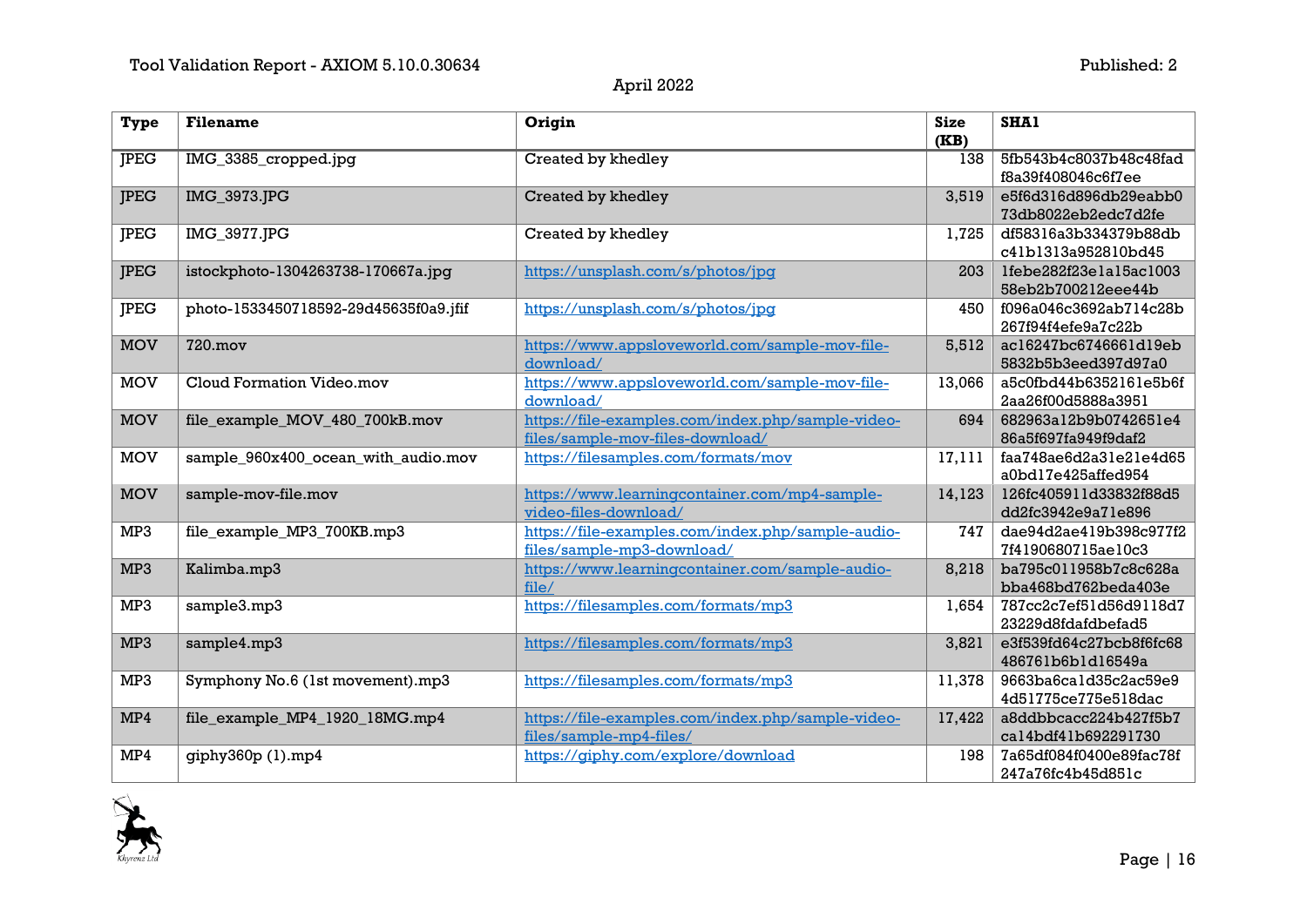| <b>Type</b> | <b>Filename</b>                       | Origin                                                                                | <b>Size</b><br>(KB) | SHA1                                         |
|-------------|---------------------------------------|---------------------------------------------------------------------------------------|---------------------|----------------------------------------------|
| <b>JPEG</b> | IMG_3385_cropped.jpg                  | Created by khedley                                                                    | 138                 | 5fb543b4c8037b48c48fad<br>f8a39f408046c6f7ee |
| <b>JPEG</b> | IMG_3973.JPG                          | Created by khedley                                                                    | 3,519               | e5f6d316d896db29eabb0<br>73db8022eb2edc7d2fe |
| <b>JPEG</b> | IMG_3977.JPG                          | Created by khedley                                                                    | 1,725               | df58316a3b334379b88db<br>c41b1313a952810bd45 |
| <b>JPEG</b> | istockphoto-1304263738-170667a.jpg    | https://unsplash.com/s/photos/jpq                                                     | 203                 | lfebe282f23elal5ac1003<br>58eb2b700212eee44b |
| <b>JPEG</b> | photo-1533450718592-29d45635f0a9.jfif | https://unsplash.com/s/photos/jpq                                                     | 450                 | f096a046c3692ab714c28b<br>267f94f4efe9a7c22b |
| <b>MOV</b>  | <b>720.mov</b>                        | https://www.appsloveworld.com/sample-mov-file-<br>download/                           | 5,512               | ac16247bc6746661d19eb<br>5832b5b3eed397d97a0 |
| <b>MOV</b>  | Cloud Formation Video.mov             | https://www.appsloveworld.com/sample-mov-file-<br>download/                           | 13,066              | a5c0fbd44b6352161e5b6f<br>2aa26f00d5888a3951 |
| <b>MOV</b>  | file_example_MOV_480_700kB.mov        | https://file-examples.com/index.php/sample-video-<br>files/sample-mov-files-download/ | 694                 | 682963a12b9b0742651e4<br>86a5f697fa949f9daf2 |
| <b>MOV</b>  | sample_960x400_ocean_with_audio.mov   | https://filesamples.com/formats/mov                                                   | 17,111              | faa748ae6d2a31e21e4d65<br>a0bd17e425affed954 |
| <b>MOV</b>  | sample-mov-file.mov                   | https://www.learningcontainer.com/mp4-sample-<br>video-files-download/                | 14,123              | 126fc405911d33832f88d5<br>dd2fc3942e9a71e896 |
| MP3         | file example MP3 700KB.mp3            | https://file-examples.com/index.php/sample-audio-<br>files/sample-mp3-download/       | 747                 | dae94d2ae419b398c977f2<br>7f4190680715ae10c3 |
| MP3         | Kalimba.mp3                           | https://www.learningcontainer.com/sample-audio-<br>file/                              | 8,218               | ba795c011958b7c8c628a<br>bba468bd762beda403e |
| MP3         | sample3.mp3                           | https://filesamples.com/formats/mp3                                                   | 1,654               | 787cc2c7ef51d56d9118d7<br>23229d8fdafdbefad5 |
| MP3         | sample4.mp3                           | https://filesamples.com/formats/mp3                                                   | 3,821               | e3f539fd64c27bcb8f6fc68<br>486761b6b1d16549a |
| MP3         | Symphony No.6 (1st movement).mp3      | https://filesamples.com/formats/mp3                                                   | 11,378              | 9663ba6ca1d35c2ac59e9<br>4d51775ce775e518dac |
| MP4         | file_example_MP4_1920_18MG.mp4        | https://file-examples.com/index.php/sample-video-<br>files/sample-mp4-files/          | 17,422              | a8ddbbcacc224b427f5b7<br>cal4bdf41b692291730 |
| MP4         | giphy360p (1).mp4                     | https://giphy.com/explore/download                                                    | 198                 | 7a65df084f0400e89fac78f<br>247a76fc4b45d851c |

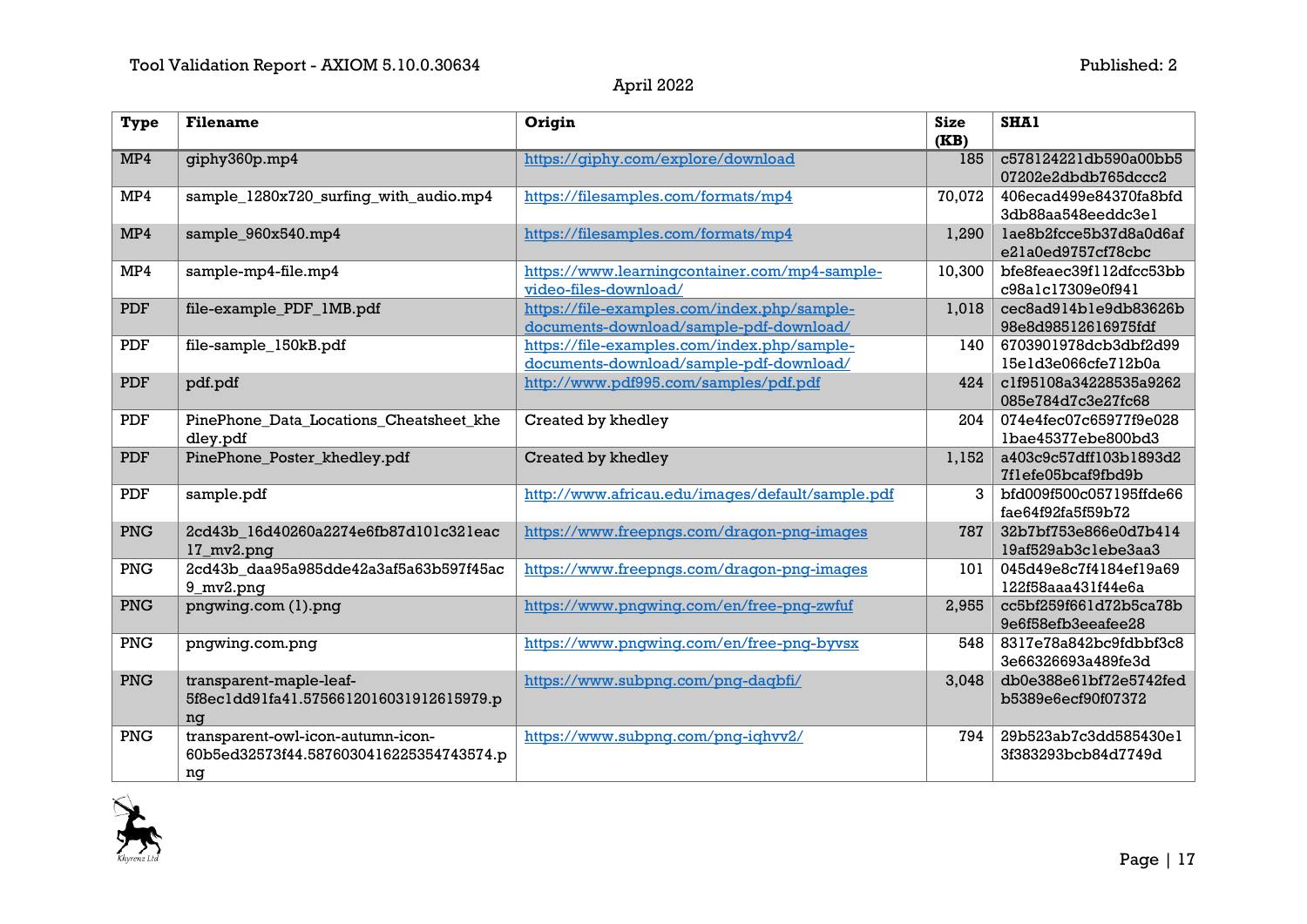| <b>Type</b>             | <b>Filename</b>                                                                    | Origin                                                                                 | <b>Size</b><br>(KB) | <b>SHA1</b>                                  |
|-------------------------|------------------------------------------------------------------------------------|----------------------------------------------------------------------------------------|---------------------|----------------------------------------------|
| MP4                     | giphy360p.mp4                                                                      | https://giphy.com/explore/download                                                     | 185                 | c578124221db590a00bb5<br>07202e2dbdb765dccc2 |
| MP4                     | sample_1280x720_surfing_with_audio.mp4                                             | https://filesamples.com/formats/mp4                                                    | 70,072              | 406ecad499e84370fa8bfd<br>3db88aa548eeddc3el |
| MP4                     | sample_960x540.mp4                                                                 | https://filesamples.com/formats/mp4                                                    | 1,290               | lae8b2fcce5b37d8a0d6af<br>e21a0ed9757cf78cbc |
| MP4                     | sample-mp4-file.mp4                                                                | https://www.learningcontainer.com/mp4-sample-<br>video-files-download/                 | 10,300              | bfe8feaec39f112dfcc53bb<br>c98alc17309e0f941 |
| <b>PDF</b>              | file-example_PDF_1MB.pdf                                                           | https://file-examples.com/index.php/sample-<br>documents-download/sample-pdf-download/ | 1,018               | cec8ad914ble9db83626b<br>98e8d98512616975fdf |
| <b>PDF</b>              | file-sample_150kB.pdf                                                              | https://file-examples.com/index.php/sample-<br>documents-download/sample-pdf-download/ | 140                 | 6703901978dcb3dbf2d99<br>15e1d3e066cfe712b0a |
| <b>PDF</b>              | pdf.pdf                                                                            | http://www.pdf995.com/samples/pdf.pdf                                                  | 424                 | c1f95108a34228535a9262<br>085e784d7c3e27fc68 |
| PDF                     | PinePhone_Data_Locations_Cheatsheet_khe<br>dley.pdf                                | Created by khedley                                                                     | 204                 | 074e4fec07c65977f9e028<br>lbae45377ebe800bd3 |
| <b>PDF</b>              | PinePhone_Poster_khedley.pdf                                                       | Created by khedley                                                                     | 1,152               | a403c9c57dff103b1893d2<br>7f1efe05bcaf9fbd9b |
| <b>PDF</b>              | sample.pdf                                                                         | http://www.africau.edu/images/default/sample.pdf                                       | 3 <sup>1</sup>      | bfd009f500c057195ffde66<br>fae64f92fa5f59b72 |
| PNG                     | 2cd43b_16d40260a2274e6fb87d101c321eac<br>17_mv2.png                                | https://www.freepngs.com/dragon-png-images                                             | 787                 | 32b7bf753e866e0d7b414<br>19af529ab3clebe3aa3 |
| PNG                     | 2cd43b_daa95a985dde42a3af5a63b597f45ac<br>9_mv2.png                                | https://www.freepngs.com/dragon-png-images                                             | 101                 | 045d49e8c7f4184ef19a69<br>122f58aaa431f44e6a |
| PNG                     | pngwing.com (1).png                                                                | https://www.pngwing.com/en/free-png-zwfuf                                              | 2,955               | cc5bf259f661d72b5ca78b<br>9e6f58efb3eeafee28 |
| $\overline{\text{PNG}}$ | pngwing.com.png                                                                    | https://www.pngwing.com/en/free-png-byvsx                                              | 548                 | 8317e78a842bc9fdbbf3c8<br>3e66326693a489fe3d |
| PNG                     | transparent-maple-leaf-<br>5f8ec1dd91fa41.5756612016031912615979.p<br>nq           | https://www.subpng.com/png-dagbfi/                                                     | 3,048               | db0e388e61bf72e5742fed<br>b5389e6ecf90f07372 |
| PNG                     | transparent-owl-icon-autumn-icon-<br>60b5ed32573f44.5876030416225354743574.p<br>ng | https://www.subpng.com/png-ighvv2/                                                     | 794                 | 29b523ab7c3dd585430el<br>3f383293bcb84d7749d |

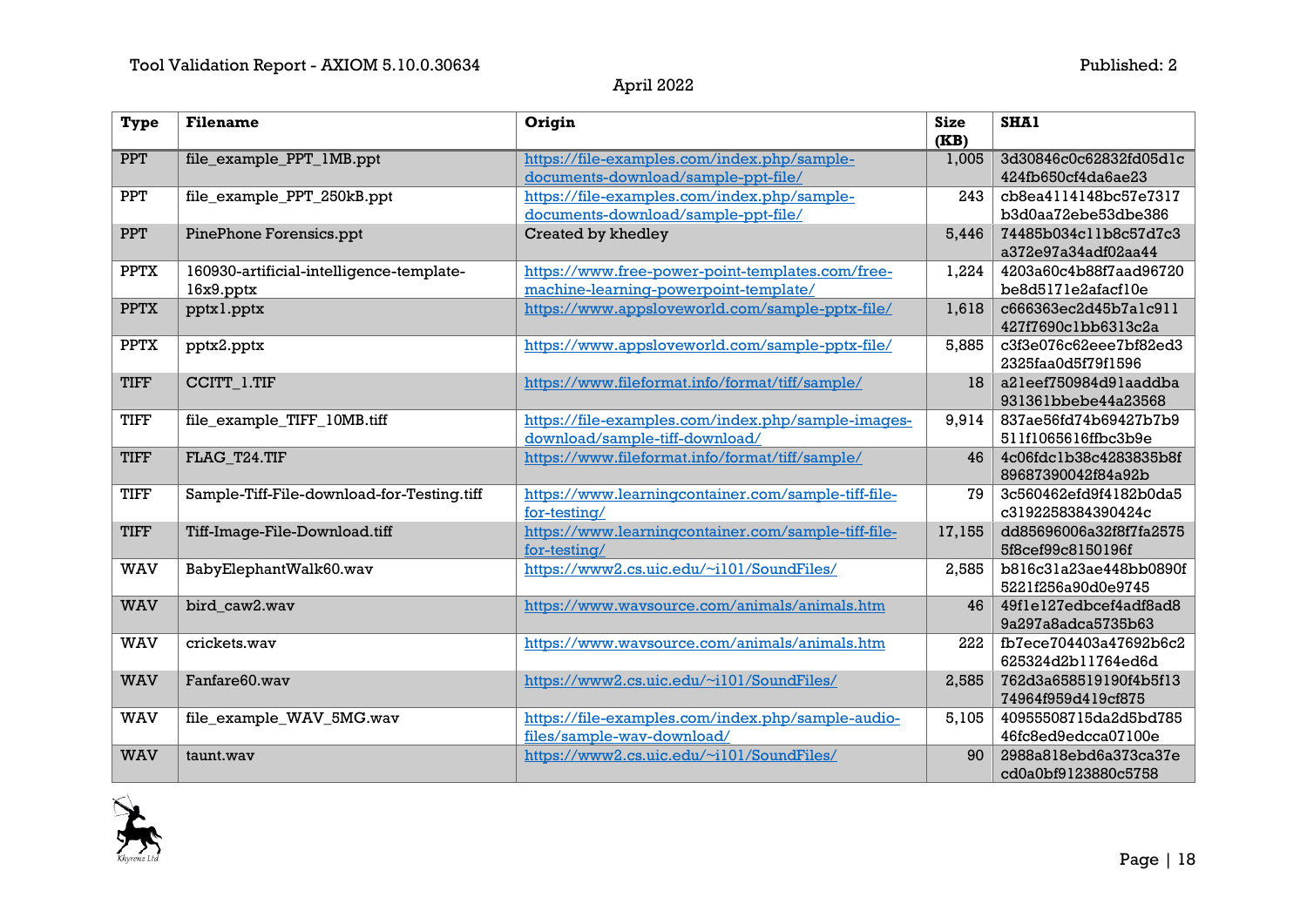| <b>Type</b> | <b>Filename</b>                            | Origin                                              | <b>Size</b><br>(KB) | SHA1                                         |
|-------------|--------------------------------------------|-----------------------------------------------------|---------------------|----------------------------------------------|
| <b>PPT</b>  | file_example_PPT_1MB.ppt                   | https://file-examples.com/index.php/sample-         | 1,005               | 3d30846c0c62832fd05dlc                       |
|             |                                            | documents-download/sample-ppt-file/                 |                     | 424fb650cf4da6ae23                           |
| PPT         | file_example_PPT_250kB.ppt                 | https://file-examples.com/index.php/sample-         | 243                 | cb8ea4114148bc57e7317                        |
|             |                                            | documents-download/sample-ppt-file/                 |                     | b3d0aa72ebe53dbe386                          |
| <b>PPT</b>  | PinePhone Forensics.ppt                    | Created by khedley                                  | 5,446               | 74485b034cllb8c57d7c3                        |
|             |                                            |                                                     |                     | a372e97a34adf02aa44                          |
| <b>PPTX</b> | 160930-artificial-intelligence-template-   | https://www.free-power-point-templates.com/free-    | 1,224               | 4203a60c4b88f7aad96720                       |
|             | $16x9.$ pptx                               | machine-learning-powerpoint-template/               |                     | be8d5171e2afacf10e                           |
| <b>PPTX</b> | pptxl.pptx                                 | https://www.appsloveworld.com/sample-pptx-file/     | 1,618               | c666363ec2d45b7alc911<br>427f7690clbb6313c2a |
| <b>PPTX</b> | pptx2.pptx                                 | https://www.appsloveworld.com/sample-pptx-file/     | 5,885               | c3f3e076c62eee7bf82ed3                       |
|             |                                            |                                                     |                     | 2325faa0d5f79f1596                           |
| <b>TIFF</b> | CCITT_1.TIF                                | https://www.fileformat.info/format/tiff/sample/     | 18                  | a2leef750984d9laaddba                        |
|             |                                            |                                                     |                     | 931361bbebe44a23568                          |
| <b>TIFF</b> | file_example_TIFF_10MB.tiff                | https://file-examples.com/index.php/sample-images-  | 9,914               | 837ae56fd74b69427b7b9                        |
|             |                                            | download/sample-tiff-download/                      |                     | 511f1065616ffbc3b9e                          |
| <b>TIFF</b> | FLAG T24.TIF                               | https://www.fileformat.info/format/tiff/sample/     | 46                  | 4c06fdc1b38c4283835b8f                       |
|             |                                            |                                                     |                     | 89687390042f84a92b                           |
| <b>TIFF</b> | Sample-Tiff-File-download-for-Testing.tiff | https://www.learningcontainer.com/sample-tiff-file- | 79                  | 3c560462efd9f4182b0da5                       |
|             |                                            | for-testing/                                        |                     | c3192258384390424c                           |
| <b>TIFF</b> | Tiff-Image-File-Download.tiff              | https://www.learningcontainer.com/sample-tiff-file- | 17,155              | dd85696006a32f8f7fa2575                      |
|             |                                            | for-testing/                                        |                     | 5f8cef99c8150196f                            |
| <b>WAV</b>  | BabyElephantWalk60.wav                     | https://www2.cs.uic.edu/~i101/SoundFiles/           | 2,585               | b816c31a23ae448bb0890f                       |
|             |                                            |                                                     |                     | 5221f256a90d0e9745                           |
| <b>WAV</b>  | bird caw2.wav                              | https://www.wavsource.com/animals/animals.htm       | 46                  | 49f1e127edbcef4adf8ad8                       |
|             |                                            |                                                     |                     | 9a297a8adca5735b63                           |
| <b>WAV</b>  | crickets.wav                               | https://www.wavsource.com/animals/animals.htm       | 222                 | fb7ece704403a47692b6c2                       |
|             |                                            |                                                     |                     | 625324d2b11764ed6d                           |
| <b>WAV</b>  | Fanfare60.wav                              | https://www2.cs.uic.edu/~i101/SoundFiles/           | 2,585               | 762d3a658519190f4b5f13                       |
|             |                                            |                                                     |                     | 74964f959d419cf875                           |
| <b>WAV</b>  | file_example_WAV_5MG.wav                   | https://file-examples.com/index.php/sample-audio-   | 5,105               | 40955508715da2d5bd785                        |
|             |                                            | files/sample-wav-download/                          |                     | 46fc8ed9edcca07100e                          |
| WAV         | taunt.wav                                  | https://www2.cs.uic.edu/~i101/SoundFiles/           | 90                  | 2988a818ebd6a373ca37e                        |
|             |                                            |                                                     |                     | cd0a0bf9123880c5758                          |

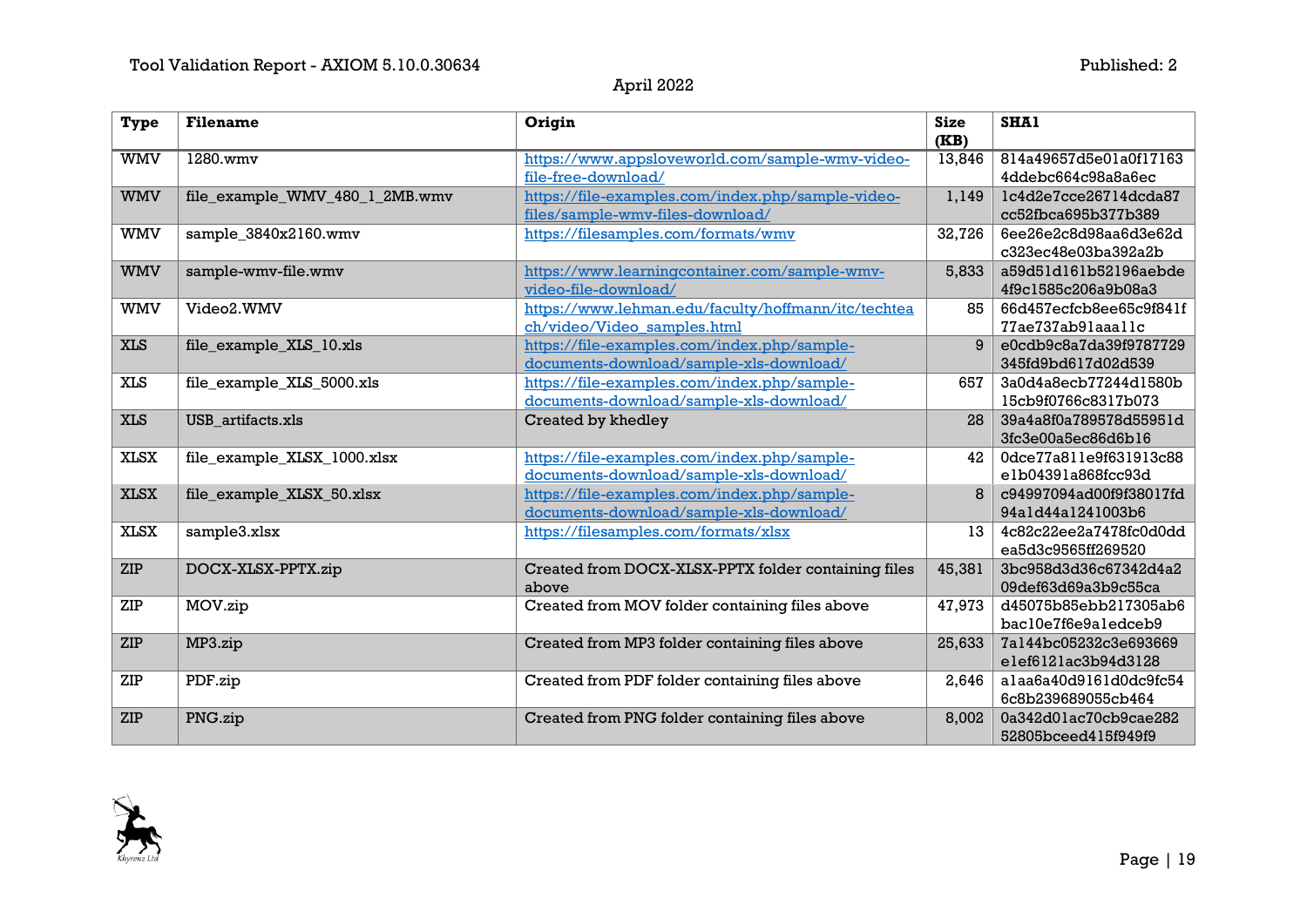| Type        | <b>Filename</b>                | Origin                                                                                 | <b>Size</b><br>(KB) | <b>SHA1</b>                                  |
|-------------|--------------------------------|----------------------------------------------------------------------------------------|---------------------|----------------------------------------------|
| <b>WMV</b>  | 1280.wmv                       | https://www.appsloveworld.com/sample-wmv-video-<br>file-free-download/                 | 13,846              | 814a49657d5e01a0f17163<br>4ddebc664c98a8a6ec |
| <b>WMV</b>  | file_example_WMV_480_1_2MB.wmv | https://file-examples.com/index.php/sample-video-<br>files/sample-wmv-files-download/  | 1,149               | lc4d2e7cce26714dcda87<br>cc52fbca695b377b389 |
| <b>WMV</b>  | sample_3840x2160.wmv           | https://filesamples.com/formats/wmv                                                    | 32,726              | 6ee26e2c8d98aa6d3e62d<br>c323ec48e03ba392a2b |
| <b>WMV</b>  | sample-wmv-file.wmv            | https://www.learningcontainer.com/sample-wmv-<br>video-file-download/                  | 5,833               | a59d51d161b52196aebde<br>4f9c1585c206a9b08a3 |
| <b>WMV</b>  | Video2.WMV                     | https://www.lehman.edu/faculty/hoffmann/itc/techtea<br>ch/video/Video samples.html     | 85                  | 66d457ecfcb8ee65c9f841f<br>77ae737ab9laaallc |
| <b>XLS</b>  | file_example_XLS_10.xls        | https://file-examples.com/index.php/sample-<br>documents-download/sample-xls-download/ | 9                   | e0cdb9c8a7da39f9787729<br>345fd9bd617d02d539 |
| <b>XLS</b>  | file_example_XLS_5000.xls      | https://file-examples.com/index.php/sample-<br>documents-download/sample-xls-download/ | 657                 | 3a0d4a8ecb77244d1580b<br>15cb9f0766c8317b073 |
| <b>XLS</b>  | USB_artifacts.xls              | Created by khedley                                                                     | 28                  | 39a4a8f0a789578d55951d<br>3fc3e00a5ec86d6b16 |
| <b>XLSX</b> | file_example_XLSX_1000.xlsx    | https://file-examples.com/index.php/sample-<br>documents-download/sample-xls-download/ | 42                  | 0dce77a811e9f631913c88<br>elb04391a868fcc93d |
| <b>XLSX</b> | file_example_XLSX_50.xlsx      | https://file-examples.com/index.php/sample-<br>documents-download/sample-xls-download/ | 8                   | c94997094ad00f9f38017fd<br>94a1d44a1241003b6 |
| <b>XLSX</b> | sample3.xlsx                   | https://filesamples.com/formats/xlsx                                                   | 13                  | 4c82c22ee2a7478fc0d0dd<br>ea5d3c9565ff269520 |
| <b>ZIP</b>  | DOCX-XLSX-PPTX.zip             | Created from DOCX-XLSX-PPTX folder containing files<br>above                           | 45,381              | 3bc958d3d36c67342d4a2<br>09def63d69a3b9c55ca |
| ZIP         | MOV.zip                        | Created from MOV folder containing files above                                         | 47,973              | d45075b85ebb217305ab6<br>bac10e7f6e9a1edceb9 |
| ZIP         | MP3.zip                        | Created from MP3 folder containing files above                                         | 25,633              | 7a144bc05232c3e693669<br>elef6121ac3b94d3128 |
| ZIP         | PDF.zip                        | Created from PDF folder containing files above                                         | 2,646               | alaa6a40d9161d0dc9fc54<br>6c8b239689055cb464 |
| ZIP         | PNG.zip                        | Created from PNG folder containing files above                                         | 8,002               | 0a342d01ac70cb9cae282<br>52805bceed415f949f9 |